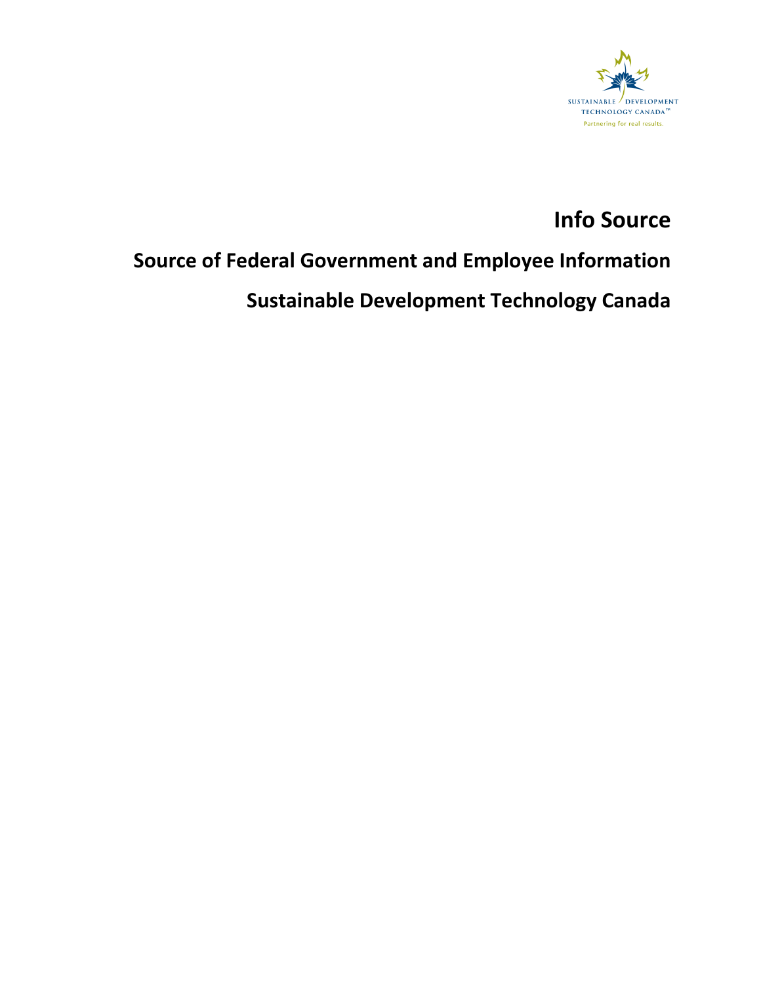

# **Info Source**

# **Source of Federal Government and Employee Information**

# **Sustainable Development Technology Canada**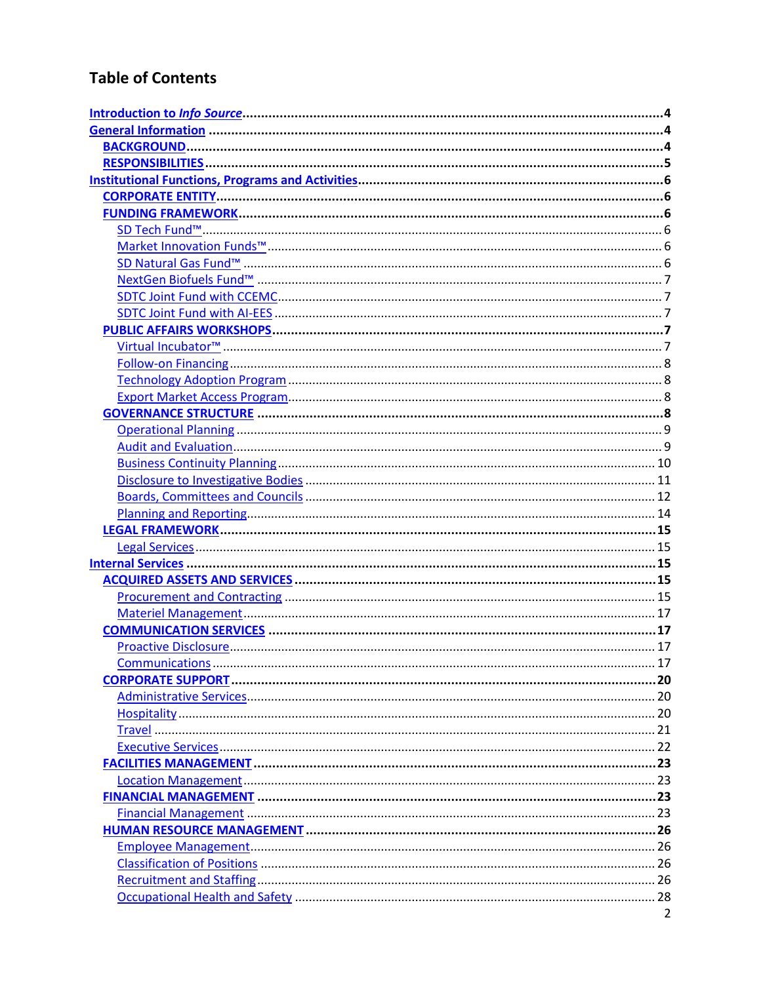# **Table of Contents**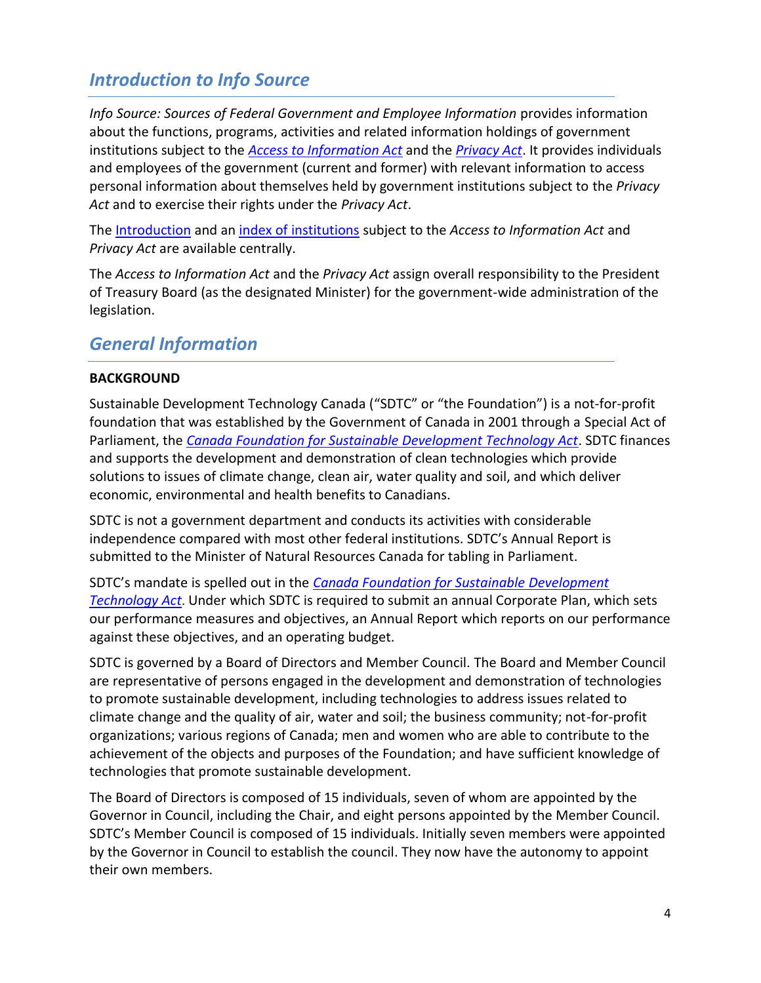# <span id="page-3-0"></span>*Introduction to Info Source*

*Info Source: Sources of Federal Government and Employee Information* provides information about the functions, programs, activities and related information holdings of government institutions subject to the *[Access to Information Act](http://laws-lois.justice.gc.ca/eng/acts/A-1/index.html)* and the *[Privacy Act](http://laws-lois.justice.gc.ca/eng/acts/p-21/)*. It provides individuals and employees of the government (current and former) with relevant information to access personal information about themselves held by government institutions subject to the *Privacy Act* and to exercise their rights under the *Privacy Act*.

The [Introduction](http://www.infosource.gc.ca/emp/emp01-eng.asp) and an [index of institutions](http://www.infosource.gc.ca/emp/emp05-eng.asp#chapters) subject to the *Access to Information Act* and *Privacy Act* are available centrally.

The *Access to Information Act* and the *Privacy Act* assign overall responsibility to the President of Treasury Board (as the designated Minister) for the government-wide administration of the legislation.

## <span id="page-3-1"></span>*General Information*

#### <span id="page-3-2"></span>**BACKGROUND**

Sustainable Development Technology Canada ("SDTC" or "the Foundation") is a not-for-profit foundation that was established by the Government of Canada in 2001 through a Special Act of Parliament, the *[Canada Foundation for Sustainable Development Technology Act](http://laws-lois.justice.gc.ca/eng/acts/c-5.5/)*. SDTC finances and supports the development and demonstration of clean technologies which provide solutions to issues of climate change, clean air, water quality and soil, and which deliver economic, environmental and health benefits to Canadians.

SDTC is not a government department and conducts its activities with considerable independence compared with most other federal institutions. SDTC's Annual Report is submitted to the Minister of Natural Resources Canada for tabling in Parliament.

SDTC's mandate is spelled out in the *[Canada Foundation for Sustainable Development](http://laws-lois.justice.gc.ca/eng/acts/c-5.5/)  [Technology Act](http://laws-lois.justice.gc.ca/eng/acts/c-5.5/)*. Under which SDTC is required to submit an annual Corporate Plan, which sets our performance measures and objectives, an Annual Report which reports on our performance against these objectives, and an operating budget.

SDTC is governed by a Board of Directors and Member Council. The Board and Member Council are representative of persons engaged in the development and demonstration of technologies to promote sustainable development, including technologies to address issues related to climate change and the quality of air, water and soil; the business community; not-for-profit organizations; various regions of Canada; men and women who are able to contribute to the achievement of the objects and purposes of the Foundation; and have sufficient knowledge of technologies that promote sustainable development.

The Board of Directors is composed of 15 individuals, seven of whom are appointed by the Governor in Council, including the Chair, and eight persons appointed by the Member Council. SDTC's Member Council is composed of 15 individuals. Initially seven members were appointed by the Governor in Council to establish the council. They now have the autonomy to appoint their own members.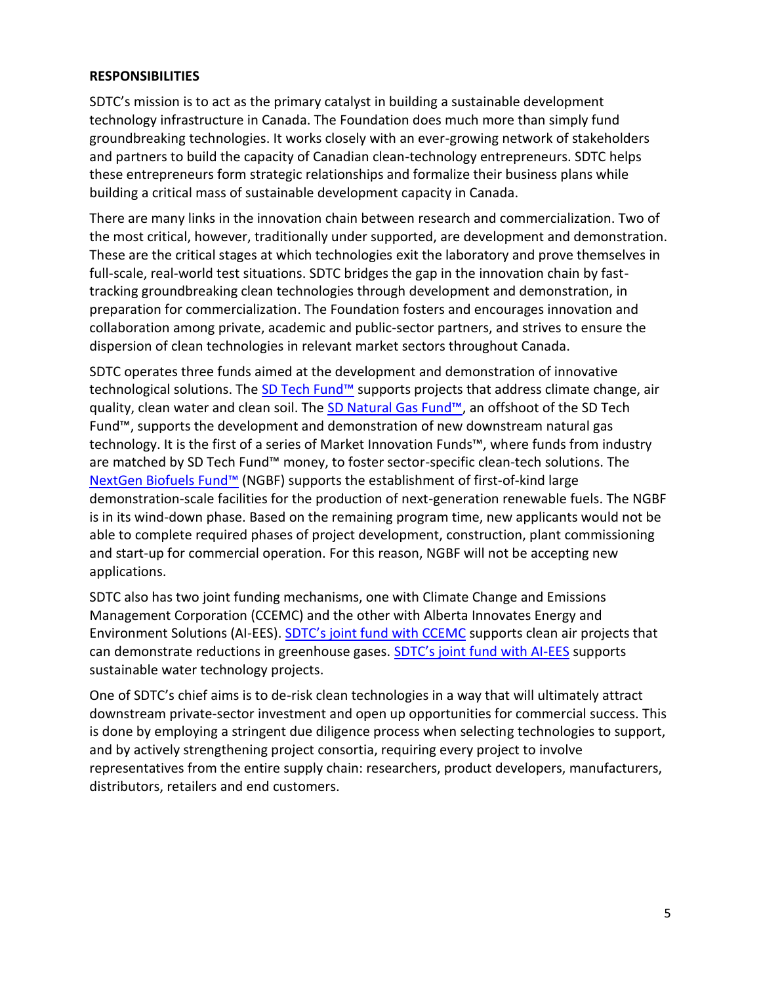#### <span id="page-4-0"></span>**RESPONSIBILITIES**

SDTC's mission is to act as the primary catalyst in building a sustainable development technology infrastructure in Canada. The Foundation does much more than simply fund groundbreaking technologies. It works closely with an ever-growing network of stakeholders and partners to build the capacity of Canadian clean-technology entrepreneurs. SDTC helps these entrepreneurs form strategic relationships and formalize their business plans while building a critical mass of sustainable development capacity in Canada.

There are many links in the innovation chain between research and commercialization. Two of the most critical, however, traditionally under supported, are development and demonstration. These are the critical stages at which technologies exit the laboratory and prove themselves in full-scale, real-world test situations. SDTC bridges the gap in the innovation chain by fasttracking groundbreaking clean technologies through development and demonstration, in preparation for commercialization. The Foundation fosters and encourages innovation and collaboration among private, academic and public-sector partners, and strives to ensure the dispersion of clean technologies in relevant market sectors throughout Canada.

SDTC operates three funds aimed at the development and demonstration of innovative technological solutions. The [SD Tech Fund™](https://www.sdtc.ca/en/apply/sd-tech-fund) supports projects that address climate change, air quality, clean water and clean soil. The [SD Natural Gas Fund™](https://www.sdtc.ca/en/apply/sd-natural-gas-fund), an offshoot of the SD Tech Fund™, supports the development and demonstration of new downstream natural gas technology. It is the first of a series of Market Innovation Funds™, where funds from industry are matched by SD Tech Fund™ money, to foster sector-specific clean-tech solutions. The [NextGen Biofuels Fund™](https://www.sdtc.ca/en/funding/funds/nextgen) (NGBF) supports the establishment of first-of-kind large demonstration-scale facilities for the production of next-generation renewable fuels. The NGBF is in its wind-down phase. Based on the remaining program time, new applicants would not be able to complete required phases of project development, construction, plant commissioning and start-up for commercial operation. For this reason, NGBF will not be accepting new applications.

SDTC also has two joint funding mechanisms, one with Climate Change and Emissions Management Corporation (CCEMC) and the other with Alberta Innovates Energy and Environment Solutions (AI-EES). SDTC's [joint fund with CCEMC](https://www.sdtc.ca/en/apply/sdtc-joint-fund-ccemc) supports clean air projects that can demonstrate reductions in greenhouse gases. [SDTC's joint fund with AI](https://www.sdtc.ca/en/apply/sdtc-joint-fund-ai-ees)-EES supports sustainable water technology projects.

One of SDTC's chief aims is to de-risk clean technologies in a way that will ultimately attract downstream private-sector investment and open up opportunities for commercial success. This is done by employing a stringent due diligence process when selecting technologies to support, and by actively strengthening project consortia, requiring every project to involve representatives from the entire supply chain: researchers, product developers, manufacturers, distributors, retailers and end customers.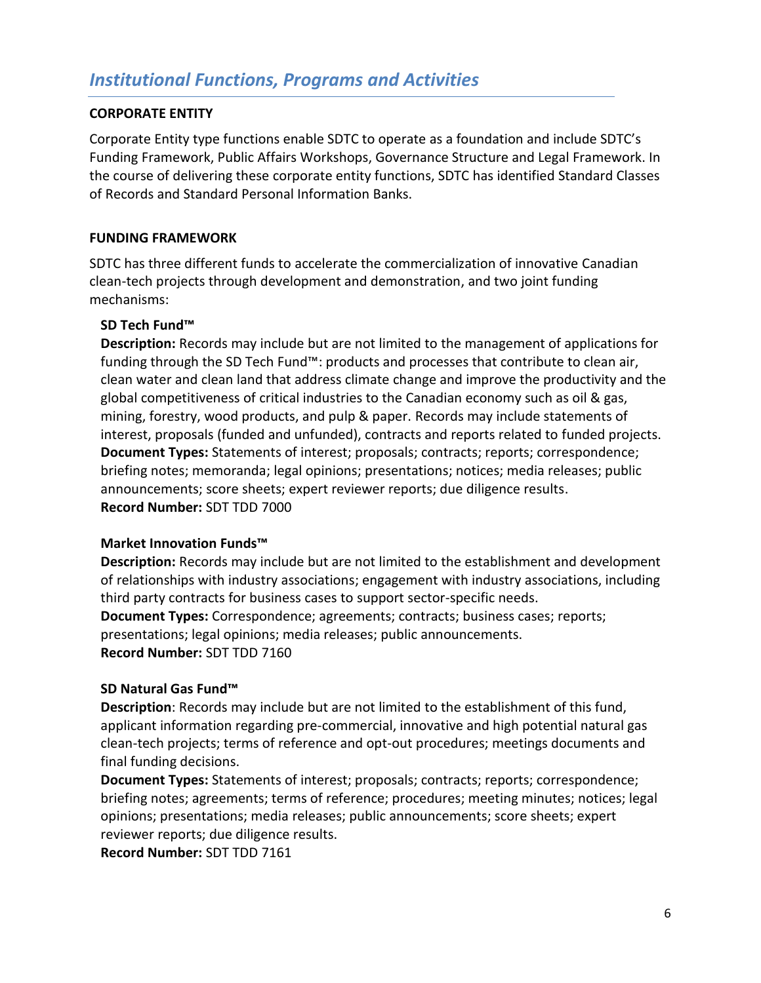#### <span id="page-5-1"></span><span id="page-5-0"></span>**CORPORATE ENTITY**

Corporate Entity type functions enable SDTC to operate as a foundation and include SDTC's Funding Framework, Public Affairs Workshops, Governance Structure and Legal Framework. In the course of delivering these corporate entity functions, SDTC has identified Standard Classes of Records and Standard Personal Information Banks.

#### <span id="page-5-2"></span>**FUNDING FRAMEWORK**

SDTC has three different funds to accelerate the commercialization of innovative Canadian clean-tech projects through development and demonstration, and two joint funding mechanisms:

#### <span id="page-5-3"></span>**SD Tech Fund™**

**Description:** Records may include but are not limited to the management of applications for funding through the SD Tech Fund™: products and processes that contribute to clean air, clean water and clean land that address climate change and improve the productivity and the global competitiveness of critical industries to the Canadian economy such as oil & gas, mining, forestry, wood products, and pulp & paper. Records may include statements of interest, proposals (funded and unfunded), contracts and reports related to funded projects. **Document Types:** Statements of interest; proposals; contracts; reports; correspondence; briefing notes; memoranda; legal opinions; presentations; notices; media releases; public announcements; score sheets; expert reviewer reports; due diligence results. **Record Number:** SDT TDD 7000

#### <span id="page-5-4"></span>**Market Innovation Funds™**

**Description:** Records may include but are not limited to the establishment and development of relationships with industry associations; engagement with industry associations, including third party contracts for business cases to support sector-specific needs. **Document Types:** Correspondence; agreements; contracts; business cases; reports; presentations; legal opinions; media releases; public announcements. **Record Number:** SDT TDD 7160

#### <span id="page-5-5"></span>**SD Natural Gas Fund™**

**Description**: Records may include but are not limited to the establishment of this fund, applicant information regarding pre-commercial, innovative and high potential natural gas clean-tech projects; terms of reference and opt-out procedures; meetings documents and final funding decisions.

**Document Types:** Statements of interest; proposals; contracts; reports; correspondence; briefing notes; agreements; terms of reference; procedures; meeting minutes; notices; legal opinions; presentations; media releases; public announcements; score sheets; expert reviewer reports; due diligence results.

<span id="page-5-6"></span>**Record Number:** SDT TDD 7161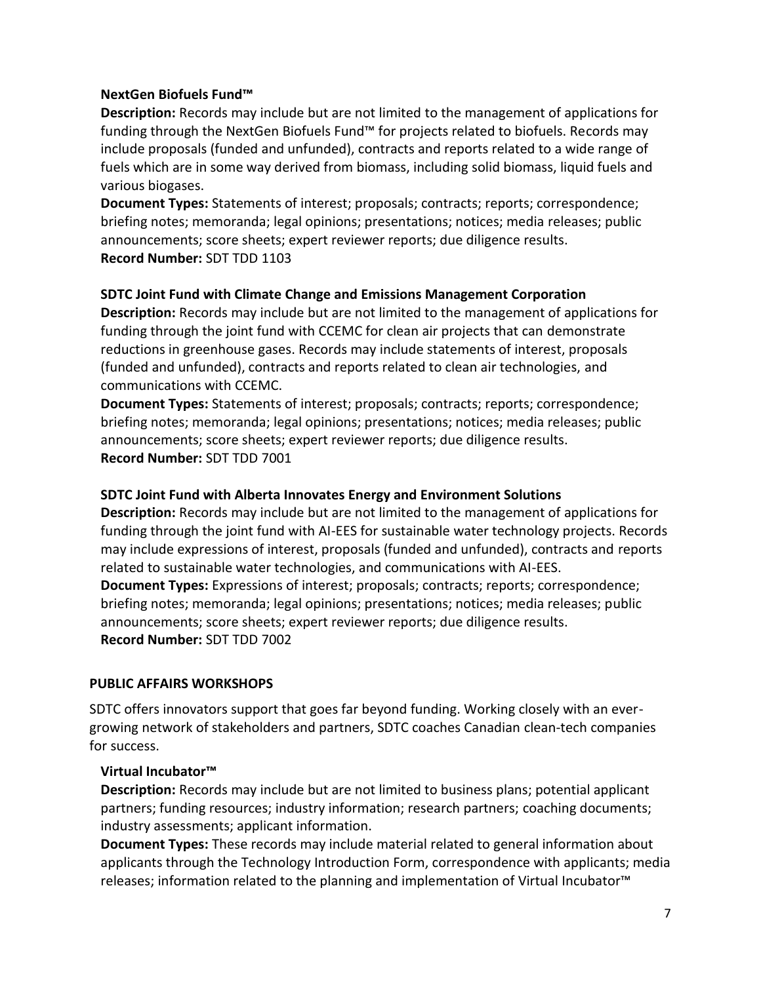#### **NextGen Biofuels Fund™**

**Description:** Records may include but are not limited to the management of applications for funding through the NextGen Biofuels Fund™ for projects related to biofuels. Records may include proposals (funded and unfunded), contracts and reports related to a wide range of fuels which are in some way derived from biomass, including solid biomass, liquid fuels and various biogases.

**Document Types:** Statements of interest; proposals; contracts; reports; correspondence; briefing notes; memoranda; legal opinions; presentations; notices; media releases; public announcements; score sheets; expert reviewer reports; due diligence results. **Record Number:** SDT TDD 1103

#### <span id="page-6-0"></span>**SDTC Joint Fund with Climate Change and Emissions Management Corporation**

**Description:** Records may include but are not limited to the management of applications for funding through the joint fund with CCEMC for clean air projects that can demonstrate reductions in greenhouse gases. Records may include statements of interest, proposals (funded and unfunded), contracts and reports related to clean air technologies, and communications with CCEMC.

**Document Types:** Statements of interest; proposals; contracts; reports; correspondence; briefing notes; memoranda; legal opinions; presentations; notices; media releases; public announcements; score sheets; expert reviewer reports; due diligence results. **Record Number:** SDT TDD 7001

#### <span id="page-6-1"></span>**SDTC Joint Fund with Alberta Innovates Energy and Environment Solutions**

**Description:** Records may include but are not limited to the management of applications for funding through the joint fund with AI-EES for sustainable water technology projects. Records may include expressions of interest, proposals (funded and unfunded), contracts and reports related to sustainable water technologies, and communications with AI-EES. **Document Types:** Expressions of interest; proposals; contracts; reports; correspondence; briefing notes; memoranda; legal opinions; presentations; notices; media releases; public announcements; score sheets; expert reviewer reports; due diligence results. **Record Number:** SDT TDD 7002

#### <span id="page-6-2"></span>**PUBLIC AFFAIRS WORKSHOPS**

SDTC offers innovators support that goes far beyond funding. Working closely with an evergrowing network of stakeholders and partners, SDTC coaches Canadian clean-tech companies for success.

#### <span id="page-6-3"></span>**Virtual Incubator™**

**Description:** Records may include but are not limited to business plans; potential applicant partners; funding resources; industry information; research partners; coaching documents; industry assessments; applicant information.

**Document Types:** These records may include material related to general information about applicants through the Technology Introduction Form, correspondence with applicants; media releases; information related to the planning and implementation of Virtual Incubator™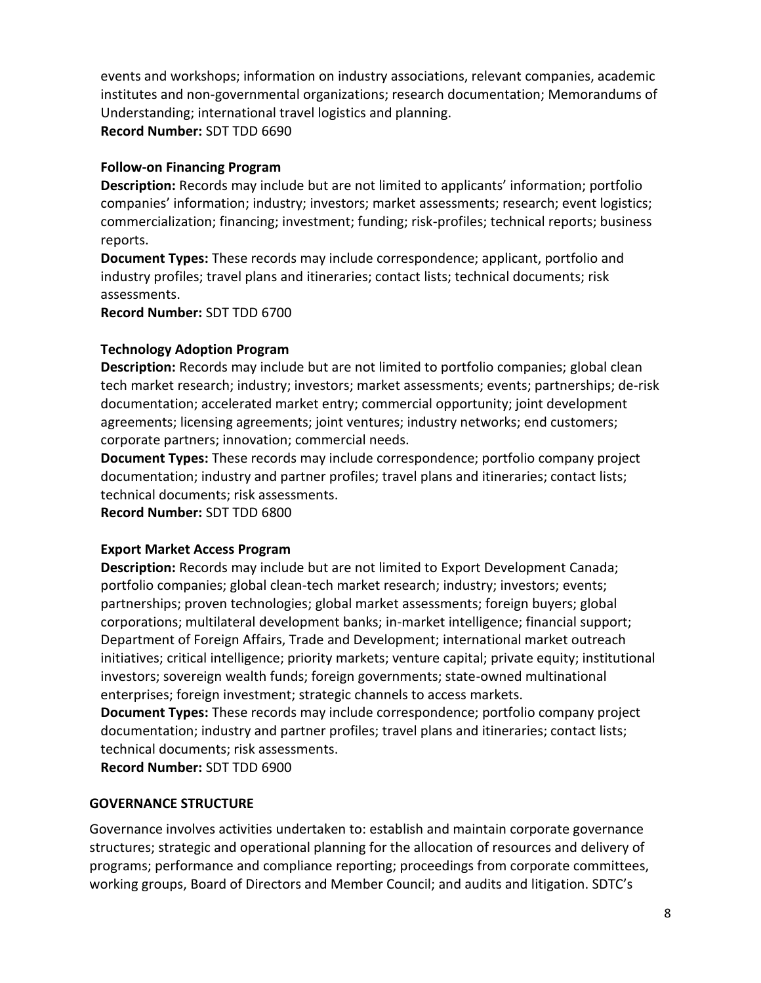events and workshops; information on industry associations, relevant companies, academic institutes and non-governmental organizations; research documentation; Memorandums of Understanding; international travel logistics and planning.

**Record Number:** SDT TDD 6690

## <span id="page-7-0"></span>**Follow-on Financing Program**

**Description:** Records may include but are not limited to applicants' information; portfolio companies' information; industry; investors; market assessments; research; event logistics; commercialization; financing; investment; funding; risk-profiles; technical reports; business reports.

**Document Types:** These records may include correspondence; applicant, portfolio and industry profiles; travel plans and itineraries; contact lists; technical documents; risk assessments.

**Record Number:** SDT TDD 6700

## <span id="page-7-1"></span>**Technology Adoption Program**

**Description:** Records may include but are not limited to portfolio companies; global clean tech market research; industry; investors; market assessments; events; partnerships; de-risk documentation; accelerated market entry; commercial opportunity; joint development agreements; licensing agreements; joint ventures; industry networks; end customers; corporate partners; innovation; commercial needs.

**Document Types:** These records may include correspondence; portfolio company project documentation; industry and partner profiles; travel plans and itineraries; contact lists; technical documents; risk assessments.

**Record Number:** SDT TDD 6800

## <span id="page-7-2"></span>**Export Market Access Program**

**Description:** Records may include but are not limited to Export Development Canada; portfolio companies; global clean-tech market research; industry; investors; events; partnerships; proven technologies; global market assessments; foreign buyers; global corporations; multilateral development banks; in-market intelligence; financial support; Department of Foreign Affairs, Trade and Development; international market outreach initiatives; critical intelligence; priority markets; venture capital; private equity; institutional investors; sovereign wealth funds; foreign governments; state-owned multinational enterprises; foreign investment; strategic channels to access markets.

**Document Types:** These records may include correspondence; portfolio company project documentation; industry and partner profiles; travel plans and itineraries; contact lists; technical documents; risk assessments.

**Record Number:** SDT TDD 6900

## <span id="page-7-3"></span>**GOVERNANCE STRUCTURE**

Governance involves activities undertaken to: establish and maintain corporate governance structures; strategic and operational planning for the allocation of resources and delivery of programs; performance and compliance reporting; proceedings from corporate committees, working groups, Board of Directors and Member Council; and audits and litigation. SDTC's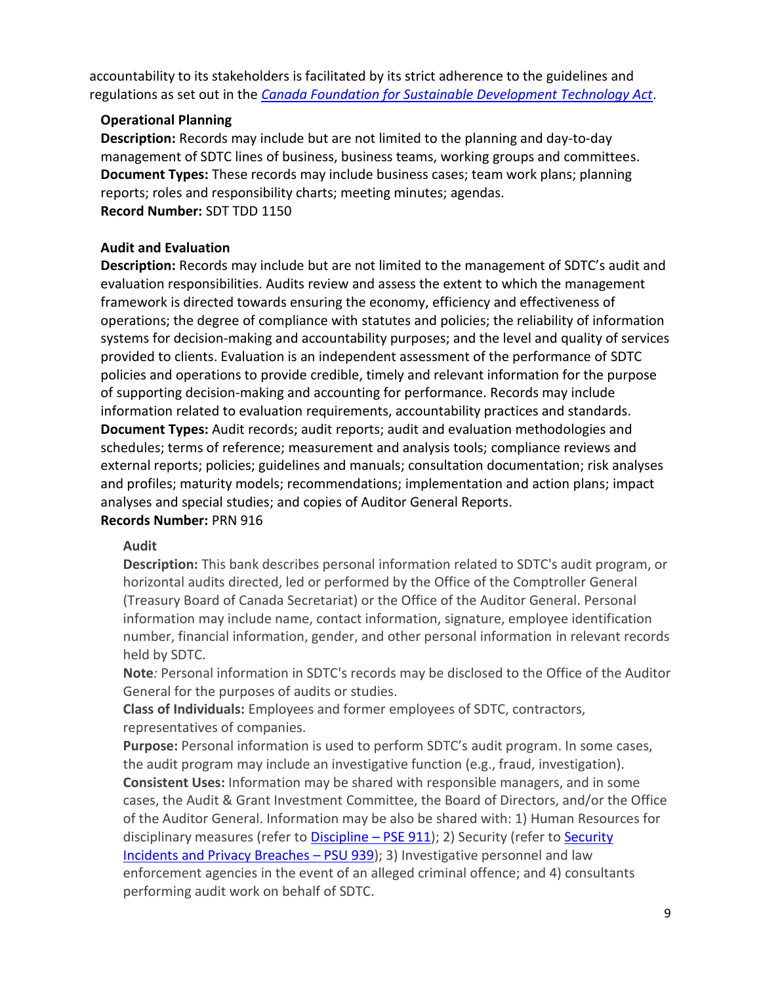accountability to its stakeholders is facilitated by its strict adherence to the guidelines and regulations as set out in the *[Canada Foundation for Sustainable Development Technology Act](http://laws-lois.justice.gc.ca/eng/acts/c-5.5/)*.

## <span id="page-8-0"></span>**Operational Planning**

**Description:** Records may include but are not limited to the planning and day-to-day management of SDTC lines of business, business teams, working groups and committees. **Document Types:** These records may include business cases; team work plans; planning reports; roles and responsibility charts; meeting minutes; agendas. **Record Number:** SDT TDD 1150

## <span id="page-8-1"></span>**Audit and Evaluation**

**Description:** Records may include but are not limited to the management of SDTC's audit and evaluation responsibilities. Audits review and assess the extent to which the management framework is directed towards ensuring the economy, efficiency and effectiveness of operations; the degree of compliance with statutes and policies; the reliability of information systems for decision-making and accountability purposes; and the level and quality of services provided to clients. Evaluation is an independent assessment of the performance of SDTC policies and operations to provide credible, timely and relevant information for the purpose of supporting decision-making and accounting for performance. Records may include information related to evaluation requirements, accountability practices and standards. **Document Types:** Audit records; audit reports; audit and evaluation methodologies and schedules; terms of reference; measurement and analysis tools; compliance reviews and external reports; policies; guidelines and manuals; consultation documentation; risk analyses and profiles; maturity models; recommendations; implementation and action plans; impact analyses and special studies; and copies of Auditor General Reports. **Records Number:** PRN 916

## **Audit**

**Description:** This bank describes personal information related to SDTC's audit program, or horizontal audits directed, led or performed by the Office of the Comptroller General (Treasury Board of Canada Secretariat) or the Office of the Auditor General. Personal information may include name, contact information, signature, employee identification number, financial information, gender, and other personal information in relevant records held by SDTC.

**Note***:* Personal information in SDTC's records may be disclosed to the Office of the Auditor General for the purposes of audits or studies.

**Class of Individuals:** Employees and former employees of SDTC, contractors, representatives of companies.

**Purpose:** Personal information is used to perform SDTC's audit program. In some cases, the audit program may include an investigative function (e.g., fraud, investigation). **Consistent Uses:** Information may be shared with responsible managers, and in some cases, the Audit & Grant Investment Committee, the Board of Directors, and/or the Office of the Auditor General. Information may be also be shared with: 1) Human Resources for disciplinary measures (refer to **Discipline - PSE 911**); 2) [Security](#page-39-0) (refer to **Security** [Incidents and Privacy Breaches](#page-39-0) – PSU 939); 3) Investigative personnel and law enforcement agencies in the event of an alleged criminal offence; and 4) consultants performing audit work on behalf of SDTC.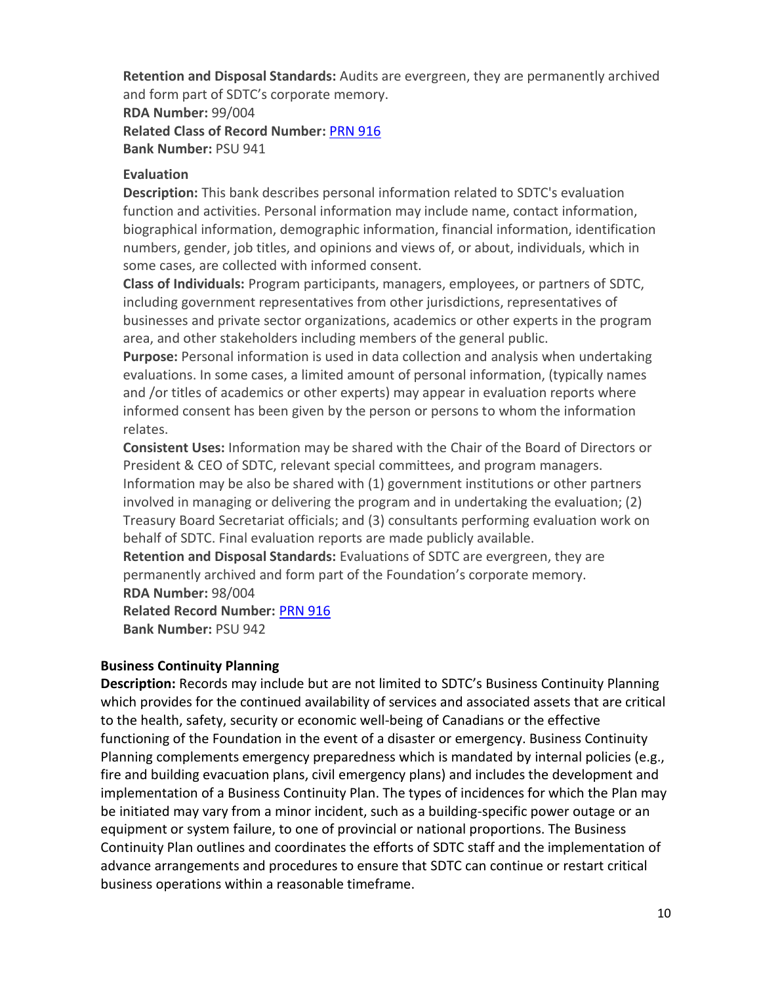**Retention and Disposal Standards:** Audits are evergreen, they are permanently archived and form part of SDTC's corporate memory.

**RDA Number:** 99/004 **Related Class of Record Number:** [PRN 916](#page-8-1) **Bank Number:** PSU 941

## **Evaluation**

**Description:** This bank describes personal information related to SDTC's evaluation function and activities. Personal information may include name, contact information, biographical information, demographic information, financial information, identification numbers, gender, job titles, and opinions and views of, or about, individuals, which in some cases, are collected with informed consent.

**Class of Individuals:** Program participants, managers, employees, or partners of SDTC, including government representatives from other jurisdictions, representatives of businesses and private sector organizations, academics or other experts in the program area, and other stakeholders including members of the general public.

**Purpose:** Personal information is used in data collection and analysis when undertaking evaluations. In some cases, a limited amount of personal information, (typically names and /or titles of academics or other experts) may appear in evaluation reports where informed consent has been given by the person or persons to whom the information relates.

**Consistent Uses:** Information may be shared with the Chair of the Board of Directors or President & CEO of SDTC, relevant special committees, and program managers.

Information may be also be shared with (1) government institutions or other partners involved in managing or delivering the program and in undertaking the evaluation; (2) Treasury Board Secretariat officials; and (3) consultants performing evaluation work on behalf of SDTC. Final evaluation reports are made publicly available.

**Retention and Disposal Standards:** Evaluations of SDTC are evergreen, they are permanently archived and form part of the Foundation's corporate memory. **RDA Number:** 98/004

**Related Record Number:** [PRN 916](#page-8-1) **Bank Number:** PSU 942

## <span id="page-9-0"></span>**Business Continuity Planning**

**Description:** Records may include but are not limited to SDTC's Business Continuity Planning which provides for the continued availability of services and associated assets that are critical to the health, safety, security or economic well-being of Canadians or the effective functioning of the Foundation in the event of a disaster or emergency. Business Continuity Planning complements emergency preparedness which is mandated by internal policies (e.g., fire and building evacuation plans, civil emergency plans) and includes the development and implementation of a Business Continuity Plan. The types of incidences for which the Plan may be initiated may vary from a minor incident, such as a building-specific power outage or an equipment or system failure, to one of provincial or national proportions. The Business Continuity Plan outlines and coordinates the efforts of SDTC staff and the implementation of advance arrangements and procedures to ensure that SDTC can continue or restart critical business operations within a reasonable timeframe.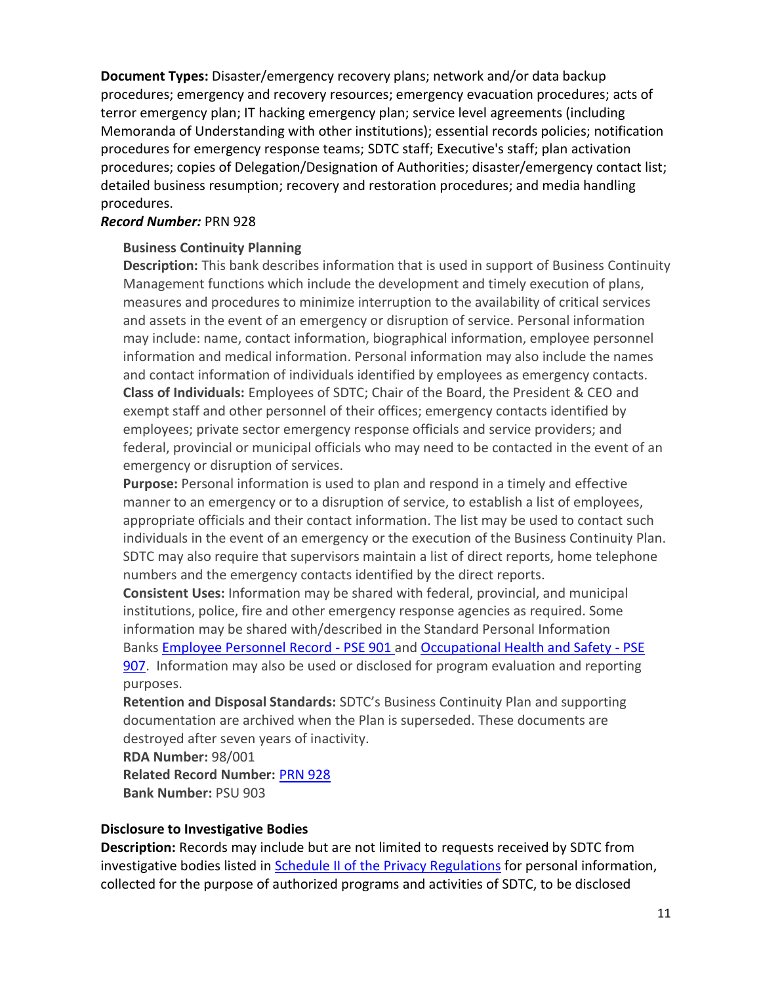**Document Types:** Disaster/emergency recovery plans; network and/or data backup procedures; emergency and recovery resources; emergency evacuation procedures; acts of terror emergency plan; IT hacking emergency plan; service level agreements (including Memoranda of Understanding with other institutions); essential records policies; notification procedures for emergency response teams; SDTC staff; Executive's staff; plan activation procedures; copies of Delegation/Designation of Authorities; disaster/emergency contact list; detailed business resumption; recovery and restoration procedures; and media handling procedures.

#### *Record Number:* PRN 928

#### **Business Continuity Planning**

**Description:** This bank describes information that is used in support of Business Continuity Management functions which include the development and timely execution of plans, measures and procedures to minimize interruption to the availability of critical services and assets in the event of an emergency or disruption of service. Personal information may include: name, contact information, biographical information, employee personnel information and medical information. Personal information may also include the names and contact information of individuals identified by employees as emergency contacts. **Class of Individuals:** Employees of SDTC; Chair of the Board, the President & CEO and exempt staff and other personnel of their offices; emergency contacts identified by employees; private sector emergency response officials and service providers; and federal, provincial or municipal officials who may need to be contacted in the event of an emergency or disruption of services.

**Purpose:** Personal information is used to plan and respond in a timely and effective manner to an emergency or to a disruption of service, to establish a list of employees, appropriate officials and their contact information. The list may be used to contact such individuals in the event of an emergency or the execution of the Business Continuity Plan. SDTC may also require that supervisors maintain a list of direct reports, home telephone numbers and the emergency contacts identified by the direct reports.

**Consistent Uses:** Information may be shared with federal, provincial, and municipal institutions, police, fire and other emergency response agencies as required. Some information may be shared with/described in the Standard Personal Information Banks [Employee Personnel Record -](#page-25-4) PSE 901 and [Occupational Health and Safety -](#page-27-1) PSE [907.](#page-27-1) Information may also be used or disclosed for program evaluation and reporting purposes.

**Retention and Disposal Standards:** SDTC's Business Continuity Plan and supporting documentation are archived when the Plan is superseded. These documents are destroyed after seven years of inactivity.

**RDA Number:** 98/001

**Related Record Number:** [PRN 928](#page-9-0) **Bank Number:** PSU 903

## <span id="page-10-0"></span>**Disclosure to Investigative Bodies**

**Description:** Records may include but are not limited to requests received by SDTC from investigative bodies listed in **Schedule II [of the Privacy Regulations](http://laws-lois.justice.gc.ca/eng/regulations/sor-83-508/page-6.html#h-11)** for personal information, collected for the purpose of authorized programs and activities of SDTC, to be disclosed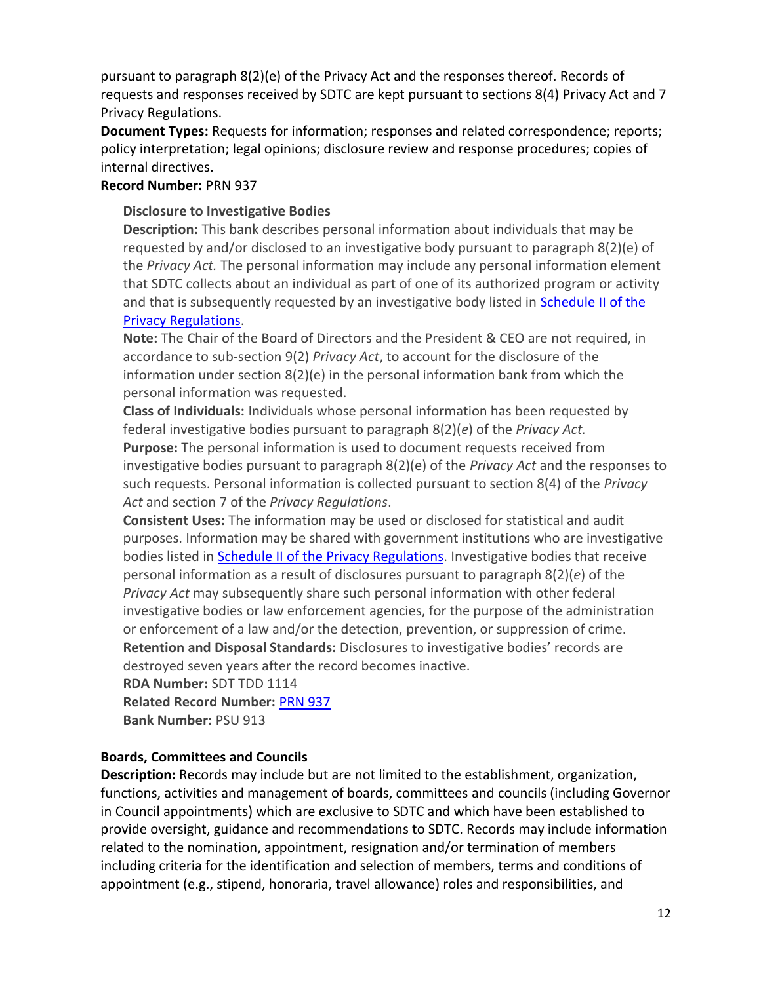pursuant to paragraph 8(2)(e) of the Privacy Act and the responses thereof. Records of requests and responses received by SDTC are kept pursuant to sections 8(4) Privacy Act and 7 Privacy Regulations.

**Document Types:** Requests for information; responses and related correspondence; reports; policy interpretation; legal opinions; disclosure review and response procedures; copies of internal directives.

#### **Record Number:** PRN 937

## **Disclosure to Investigative Bodies**

**Description:** This bank describes personal information about individuals that may be requested by and/or disclosed to an investigative body pursuant to paragraph 8(2)(e) of the *Privacy Act.* The personal information may include any personal information element that SDTC collects about an individual as part of one of its authorized program or activity and that is subsequently requested by an investigative body listed in [Schedule II](http://laws-lois.justice.gc.ca/eng/regulations/sor-83-508/page-6.html#h-11) of the [Privacy Regulations.](http://laws-lois.justice.gc.ca/eng/regulations/sor-83-508/page-6.html#h-11)

**Note:** The Chair of the Board of Directors and the President & CEO are not required, in accordance to sub-section 9(2) *Privacy Act*, to account for the disclosure of the information under section 8(2)(e) in the personal information bank from which the personal information was requested.

**Class of Individuals:** Individuals whose personal information has been requested by federal investigative bodies pursuant to paragraph 8(2)(*e*) of the *Privacy Act.* **Purpose:** The personal information is used to document requests received from investigative bodies pursuant to paragraph 8(2)(e) of the *Privacy Act* and the responses to such requests. Personal information is collected pursuant to section 8(4) of the *Privacy* 

*Act* and section 7 of the *Privacy Regulations*.

**Consistent Uses:** The information may be used or disclosed for statistical and audit purposes. Information may be shared with government institutions who are investigative bodies listed in **Schedule II of the Privacy Regulations**. Investigative bodies that receive personal information as a result of disclosures pursuant to paragraph 8(2)(*e*) of the *Privacy Act* may subsequently share such personal information with other federal investigative bodies or law enforcement agencies, for the purpose of the administration or enforcement of a law and/or the detection, prevention, or suppression of crime. **Retention and Disposal Standards:** Disclosures to investigative bodies' records are

destroyed seven years after the record becomes inactive.

**RDA Number:** SDT TDD 1114 **Related Record Number:** [PRN 937](#page-10-0)

**Bank Number:** PSU 913

## <span id="page-11-0"></span>**Boards, Committees and Councils**

**Description:** Records may include but are not limited to the establishment, organization, functions, activities and management of boards, committees and councils (including Governor in Council appointments) which are exclusive to SDTC and which have been established to provide oversight, guidance and recommendations to SDTC. Records may include information related to the nomination, appointment, resignation and/or termination of members including criteria for the identification and selection of members, terms and conditions of appointment (e.g., stipend, honoraria, travel allowance) roles and responsibilities, and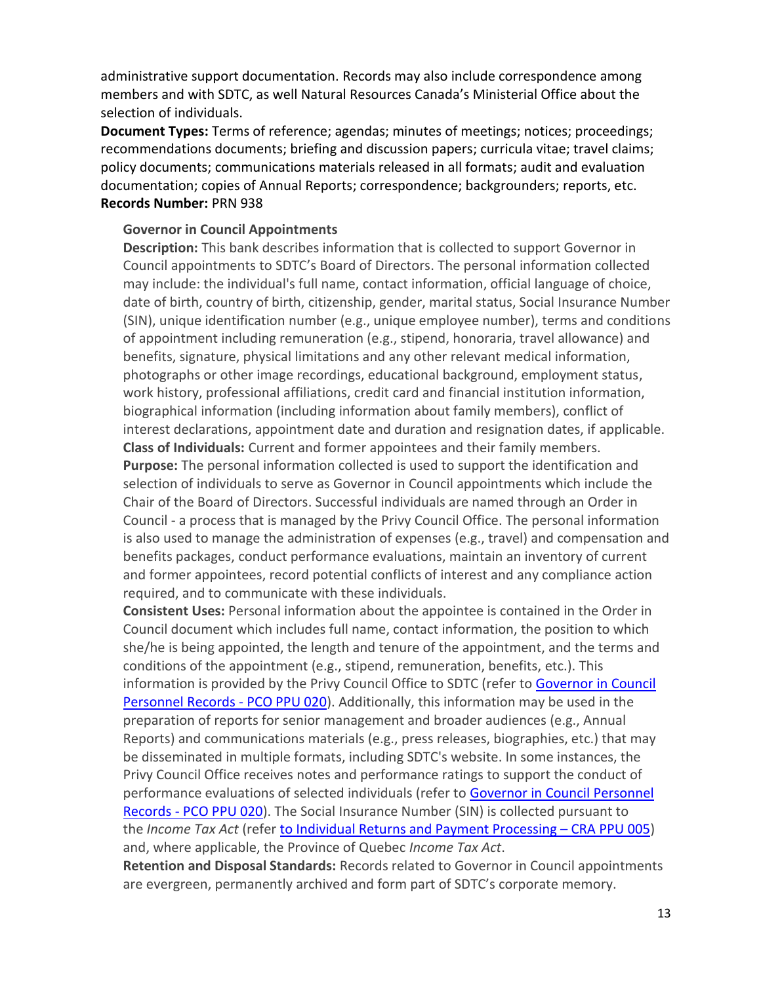administrative support documentation. Records may also include correspondence among members and with SDTC, as well Natural Resources Canada's Ministerial Office about the selection of individuals.

**Document Types:** Terms of reference; agendas; minutes of meetings; notices; proceedings; recommendations documents; briefing and discussion papers; curricula vitae; travel claims; policy documents; communications materials released in all formats; audit and evaluation documentation; copies of Annual Reports; correspondence; backgrounders; reports, etc. **Records Number:** PRN 938

#### **Governor in Council Appointments**

**Description:** This bank describes information that is collected to support Governor in Council appointments to SDTC's Board of Directors. The personal information collected may include: the individual's full name, contact information, official language of choice, date of birth, country of birth, citizenship, gender, marital status, Social Insurance Number (SIN), unique identification number (e.g., unique employee number), terms and conditions of appointment including remuneration (e.g., stipend, honoraria, travel allowance) and benefits, signature, physical limitations and any other relevant medical information, photographs or other image recordings, educational background, employment status, work history, professional affiliations, credit card and financial institution information, biographical information (including information about family members), conflict of interest declarations, appointment date and duration and resignation dates, if applicable. **Class of Individuals:** Current and former appointees and their family members.

**Purpose:** The personal information collected is used to support the identification and selection of individuals to serve as Governor in Council appointments which include the Chair of the Board of Directors. Successful individuals are named through an Order in Council - a process that is managed by the Privy Council Office. The personal information is also used to manage the administration of expenses (e.g., travel) and compensation and benefits packages, conduct performance evaluations, maintain an inventory of current and former appointees, record potential conflicts of interest and any compliance action required, and to communicate with these individuals.

**Consistent Uses:** Personal information about the appointee is contained in the Order in Council document which includes full name, contact information, the position to which she/he is being appointed, the length and tenure of the appointment, and the terms and conditions of the appointment (e.g., stipend, remuneration, benefits, etc.). This information is provided by the Privy Council Office to SDTC (refer to [Governor in Council](http://www.pco-bcp.gc.ca/index.asp?lang=eng&page=information&sub=publications&doc=info-source/index-eng.htm)  [Personnel Records -](http://www.pco-bcp.gc.ca/index.asp?lang=eng&page=information&sub=publications&doc=info-source/index-eng.htm) PCO PPU 020). Additionally, this information may be used in the preparation of reports for senior management and broader audiences (e.g., Annual Reports) and communications materials (e.g., press releases, biographies, etc.) that may be disseminated in multiple formats, including SDTC's website. In some instances, the Privy Council Office receives notes and performance ratings to support the conduct of performance evaluations of selected individuals (refer to Governor in Council Personnel Records - [PCO PPU 020\)](http://www.pco-bcp.gc.ca/index.asp?lang=eng&page=information&sub=publications&doc=info-source/index-eng.htm). The Social Insurance Number (SIN) is collected pursuant to the *Income Tax Act* (refer to [Individual Returns and Payment Processing](http://www.cra-arc.gc.ca/gncy/tp/nfsrc/nfsrc-eng.html) – CRA PPU 005) and, where applicable, the Province of Quebec *Income Tax Act*.

**Retention and Disposal Standards:** Records related to Governor in Council appointments are evergreen, permanently archived and form part of SDTC's corporate memory.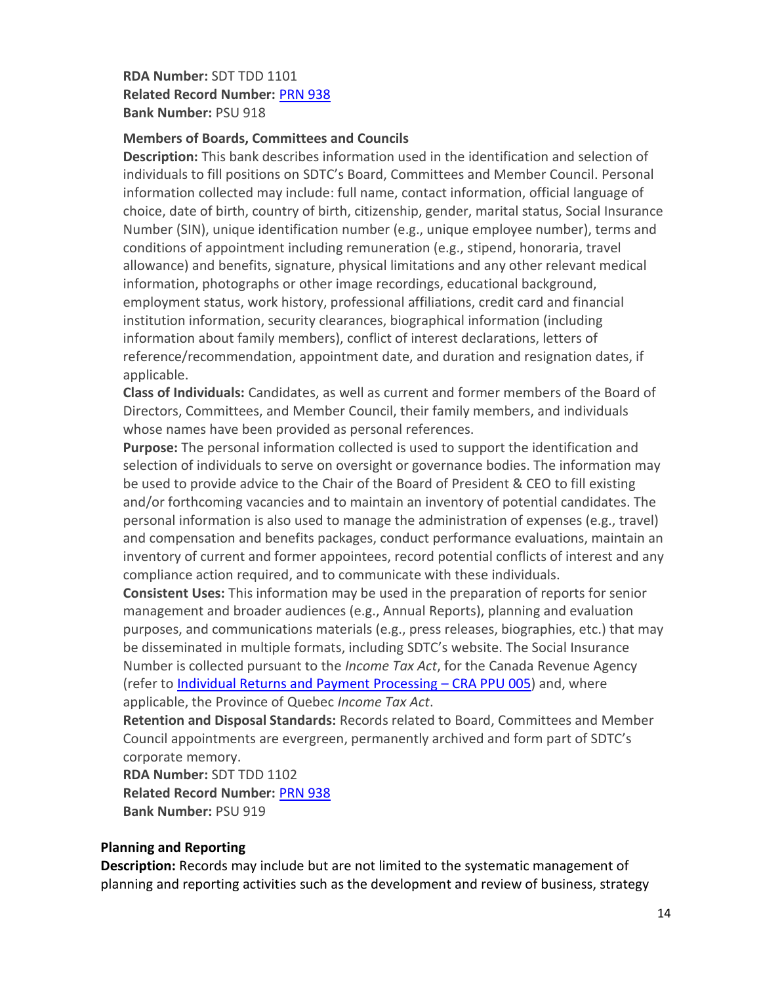## **RDA Number:** SDT TDD 1101 **Related Record Number:** [PRN 938](#page-11-0) **Bank Number:** PSU 918

#### **Members of Boards, Committees and Councils**

**Description:** This bank describes information used in the identification and selection of individuals to fill positions on SDTC's Board, Committees and Member Council. Personal information collected may include: full name, contact information, official language of choice, date of birth, country of birth, citizenship, gender, marital status, Social Insurance Number (SIN), unique identification number (e.g., unique employee number), terms and conditions of appointment including remuneration (e.g., stipend, honoraria, travel allowance) and benefits, signature, physical limitations and any other relevant medical information, photographs or other image recordings, educational background, employment status, work history, professional affiliations, credit card and financial institution information, security clearances, biographical information (including information about family members), conflict of interest declarations, letters of reference/recommendation, appointment date, and duration and resignation dates, if applicable.

**Class of Individuals:** Candidates, as well as current and former members of the Board of Directors, Committees, and Member Council, their family members, and individuals whose names have been provided as personal references.

**Purpose:** The personal information collected is used to support the identification and selection of individuals to serve on oversight or governance bodies. The information may be used to provide advice to the Chair of the Board of President & CEO to fill existing and/or forthcoming vacancies and to maintain an inventory of potential candidates. The personal information is also used to manage the administration of expenses (e.g., travel) and compensation and benefits packages, conduct performance evaluations, maintain an inventory of current and former appointees, record potential conflicts of interest and any compliance action required, and to communicate with these individuals.

**Consistent Uses:** This information may be used in the preparation of reports for senior management and broader audiences (e.g., Annual Reports), planning and evaluation purposes, and communications materials (e.g., press releases, biographies, etc.) that may be disseminated in multiple formats, including SDTC's website. The Social Insurance Number is collected pursuant to the *Income Tax Act*, for the Canada Revenue Agency (refer to [Individual Returns and Payment Processing](http://www.cra-arc.gc.ca/gncy/tp/nfsrc/nfsrc-eng.html) - CRA PPU 005) and, where applicable, the Province of Quebec *Income Tax Act*.

**Retention and Disposal Standards:** Records related to Board, Committees and Member Council appointments are evergreen, permanently archived and form part of SDTC's corporate memory.

**RDA Number:** SDT TDD 1102 **Related Record Number:** [PRN 938](#page-11-0) **Bank Number:** PSU 919

## <span id="page-13-0"></span>**Planning and Reporting**

**Description:** Records may include but are not limited to the systematic management of planning and reporting activities such as the development and review of business, strategy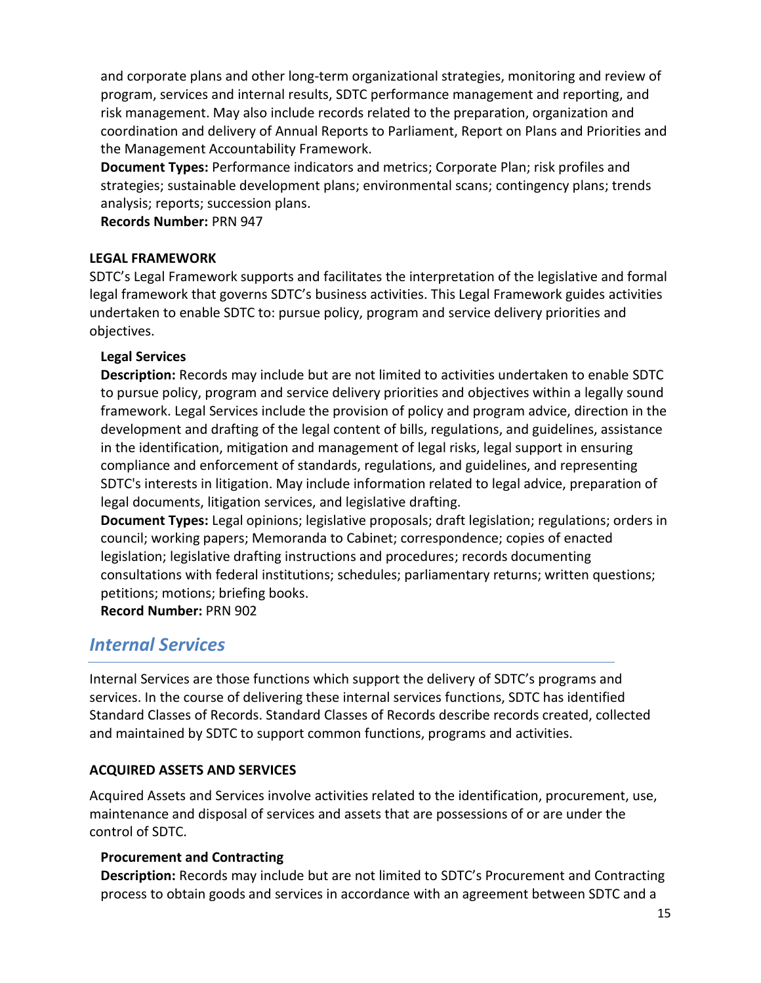and corporate plans and other long-term organizational strategies, monitoring and review of program, services and internal results, SDTC performance management and reporting, and risk management. May also include records related to the preparation, organization and coordination and delivery of Annual Reports to Parliament, Report on Plans and Priorities and the Management Accountability Framework.

**Document Types:** Performance indicators and metrics; Corporate Plan; risk profiles and strategies; sustainable development plans; environmental scans; contingency plans; trends analysis; reports; succession plans.

**Records Number:** PRN 947

## <span id="page-14-0"></span>**LEGAL FRAMEWORK**

SDTC's Legal Framework supports and facilitates the interpretation of the legislative and formal legal framework that governs SDTC's business activities. This Legal Framework guides activities undertaken to enable SDTC to: pursue policy, program and service delivery priorities and objectives.

#### <span id="page-14-1"></span>**Legal Services**

**Description:** Records may include but are not limited to activities undertaken to enable SDTC to pursue policy, program and service delivery priorities and objectives within a legally sound framework. Legal Services include the provision of policy and program advice, direction in the development and drafting of the legal content of bills, regulations, and guidelines, assistance in the identification, mitigation and management of legal risks, legal support in ensuring compliance and enforcement of standards, regulations, and guidelines, and representing SDTC's interests in litigation. May include information related to legal advice, preparation of legal documents, litigation services, and legislative drafting.

**Document Types:** Legal opinions; legislative proposals; draft legislation; regulations; orders in council; working papers; Memoranda to Cabinet; correspondence; copies of enacted legislation; legislative drafting instructions and procedures; records documenting consultations with federal institutions; schedules; parliamentary returns; written questions; petitions; motions; briefing books.

**Record Number:** PRN 902

## <span id="page-14-2"></span>*Internal Services*

Internal Services are those functions which support the delivery of SDTC's programs and services. In the course of delivering these internal services functions, SDTC has identified Standard Classes of Records. Standard Classes of Records describe records created, collected and maintained by SDTC to support common functions, programs and activities.

## <span id="page-14-3"></span>**ACQUIRED ASSETS AND SERVICES**

Acquired Assets and Services involve activities related to the identification, procurement, use, maintenance and disposal of services and assets that are possessions of or are under the control of SDTC.

## <span id="page-14-4"></span>**Procurement and Contracting**

**Description:** Records may include but are not limited to SDTC's Procurement and Contracting process to obtain goods and services in accordance with an agreement between SDTC and a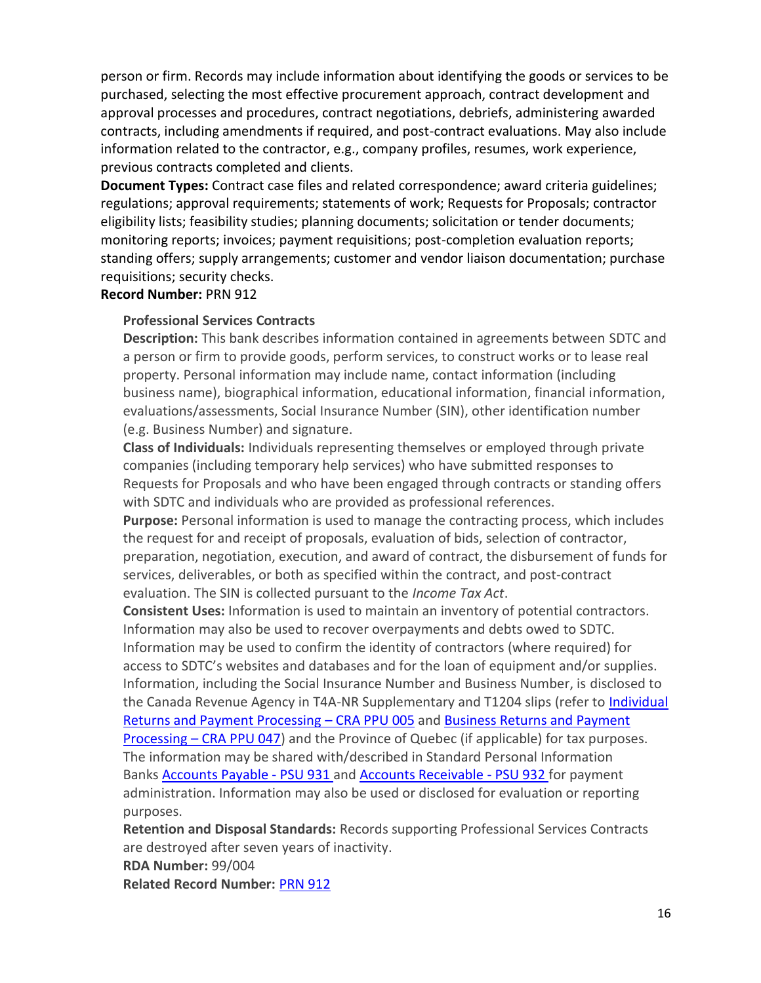person or firm. Records may include information about identifying the goods or services to be purchased, selecting the most effective procurement approach, contract development and approval processes and procedures, contract negotiations, debriefs, administering awarded contracts, including amendments if required, and post-contract evaluations. May also include information related to the contractor, e.g., company profiles, resumes, work experience, previous contracts completed and clients.

**Document Types:** Contract case files and related correspondence; award criteria guidelines; regulations; approval requirements; statements of work; Requests for Proposals; contractor eligibility lists; feasibility studies; planning documents; solicitation or tender documents; monitoring reports; invoices; payment requisitions; post-completion evaluation reports; standing offers; supply arrangements; customer and vendor liaison documentation; purchase requisitions; security checks.

#### **Record Number:** PRN 912

#### **Professional Services Contracts**

**Description:** This bank describes information contained in agreements between SDTC and a person or firm to provide goods, perform services, to construct works or to lease real property. Personal information may include name, contact information (including business name), biographical information, educational information, financial information, evaluations/assessments, Social Insurance Number (SIN), other identification number (e.g. Business Number) and signature.

**Class of Individuals:** Individuals representing themselves or employed through private companies (including temporary help services) who have submitted responses to Requests for Proposals and who have been engaged through contracts or standing offers with SDTC and individuals who are provided as professional references.

**Purpose:** Personal information is used to manage the contracting process, which includes the request for and receipt of proposals, evaluation of bids, selection of contractor, preparation, negotiation, execution, and award of contract, the disbursement of funds for services, deliverables, or both as specified within the contract, and post-contract evaluation. The SIN is collected pursuant to the *Income Tax Act*.

**Consistent Uses:** Information is used to maintain an inventory of potential contractors. Information may also be used to recover overpayments and debts owed to SDTC. Information may be used to confirm the identity of contractors (where required) for access to SDTC's websites and databases and for the loan of equipment and/or supplies. Information, including the Social Insurance Number and Business Number, is disclosed to the Canada Revenue Agency in T4A-NR Supplementary and T1204 slips (refer to [Individual](http://www.cra-arc.gc.ca/gncy/tp/nfsrc/pbapdx-eng.html#PPU005)  [Returns and Payment Processing](http://www.cra-arc.gc.ca/gncy/tp/nfsrc/pbapdx-eng.html#PPU005) – CRA PPU 005 and [Business Returns and Payment](http://www.cra-arc.gc.ca/gncy/tp/nfsrc/pbapdx-eng.html#PPU047)  Processing – [CRA PPU 047\)](http://www.cra-arc.gc.ca/gncy/tp/nfsrc/pbapdx-eng.html#PPU047) and the Province of Quebec (if applicable) for tax purposes. The information may be shared with/described in Standard Personal Information

Banks [Accounts Payable -](#page-23-0) PSU 931 and [Accounts Receivable -](#page-23-1) PSU 932 for payment administration. Information may also be used or disclosed for evaluation or reporting purposes.

**Retention and Disposal Standards:** Records supporting Professional Services Contracts are destroyed after seven years of inactivity.

**RDA Number:** 99/004

**Related Record Number:** [PRN 912](#page-14-4)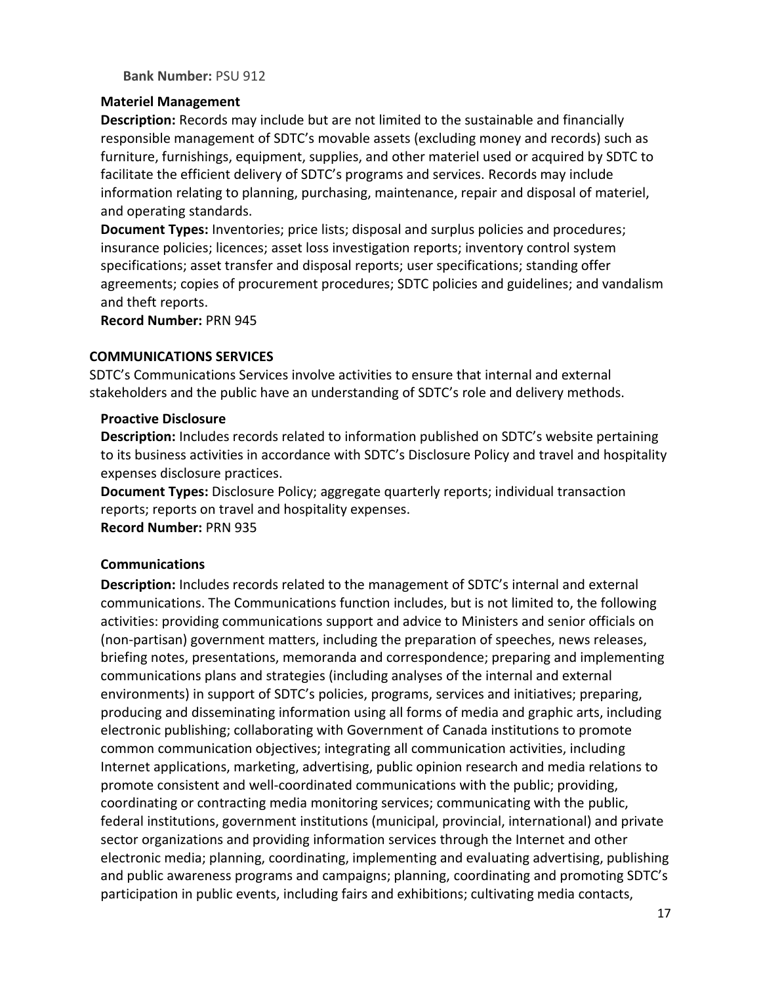**Bank Number:** PSU 912

#### <span id="page-16-0"></span>**Materiel Management**

**Description:** Records may include but are not limited to the sustainable and financially responsible management of SDTC's movable assets (excluding money and records) such as furniture, furnishings, equipment, supplies, and other materiel used or acquired by SDTC to facilitate the efficient delivery of SDTC's programs and services. Records may include information relating to planning, purchasing, maintenance, repair and disposal of materiel, and operating standards.

**Document Types:** Inventories; price lists; disposal and surplus policies and procedures; insurance policies; licences; asset loss investigation reports; inventory control system specifications; asset transfer and disposal reports; user specifications; standing offer agreements; copies of procurement procedures; SDTC policies and guidelines; and vandalism and theft reports.

**Record Number:** PRN 945

#### <span id="page-16-1"></span>**COMMUNICATIONS SERVICES**

SDTC's Communications Services involve activities to ensure that internal and external stakeholders and the public have an understanding of SDTC's role and delivery methods.

#### <span id="page-16-2"></span>**Proactive Disclosure**

**Description:** Includes records related to information published on SDTC's website pertaining to its business activities in accordance with SDTC's Disclosure Policy and travel and hospitality expenses disclosure practices.

**Document Types:** Disclosure Policy; aggregate quarterly reports; individual transaction reports; reports on travel and hospitality expenses. **Record Number:** PRN 935

## <span id="page-16-3"></span>**Communications**

**Description:** Includes records related to the management of SDTC's internal and external communications. The Communications function includes, but is not limited to, the following activities: providing communications support and advice to Ministers and senior officials on (non-partisan) government matters, including the preparation of speeches, news releases, briefing notes, presentations, memoranda and correspondence; preparing and implementing communications plans and strategies (including analyses of the internal and external environments) in support of SDTC's policies, programs, services and initiatives; preparing, producing and disseminating information using all forms of media and graphic arts, including electronic publishing; collaborating with Government of Canada institutions to promote common communication objectives; integrating all communication activities, including Internet applications, marketing, advertising, public opinion research and media relations to promote consistent and well-coordinated communications with the public; providing, coordinating or contracting media monitoring services; communicating with the public, federal institutions, government institutions (municipal, provincial, international) and private sector organizations and providing information services through the Internet and other electronic media; planning, coordinating, implementing and evaluating advertising, publishing and public awareness programs and campaigns; planning, coordinating and promoting SDTC's participation in public events, including fairs and exhibitions; cultivating media contacts,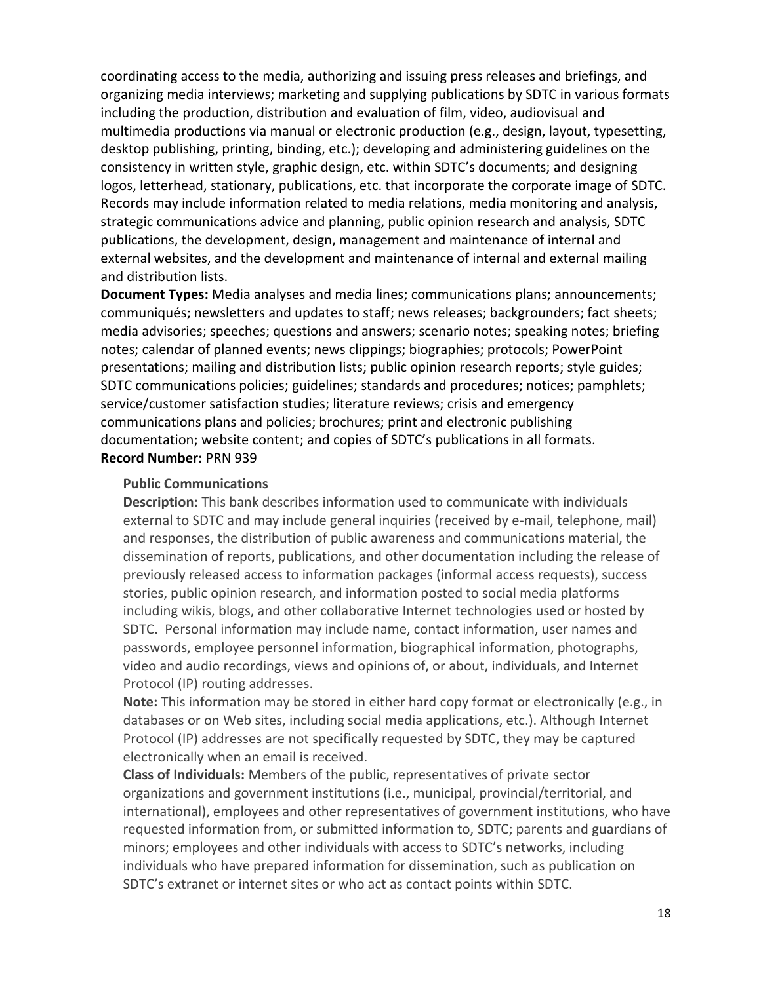coordinating access to the media, authorizing and issuing press releases and briefings, and organizing media interviews; marketing and supplying publications by SDTC in various formats including the production, distribution and evaluation of film, video, audiovisual and multimedia productions via manual or electronic production (e.g., design, layout, typesetting, desktop publishing, printing, binding, etc.); developing and administering guidelines on the consistency in written style, graphic design, etc. within SDTC's documents; and designing logos, letterhead, stationary, publications, etc. that incorporate the corporate image of SDTC. Records may include information related to media relations, media monitoring and analysis, strategic communications advice and planning, public opinion research and analysis, SDTC publications, the development, design, management and maintenance of internal and external websites, and the development and maintenance of internal and external mailing and distribution lists.

**Document Types:** Media analyses and media lines; communications plans; announcements; communiqués; newsletters and updates to staff; news releases; backgrounders; fact sheets; media advisories; speeches; questions and answers; scenario notes; speaking notes; briefing notes; calendar of planned events; news clippings; biographies; protocols; PowerPoint presentations; mailing and distribution lists; public opinion research reports; style guides; SDTC communications policies; guidelines; standards and procedures; notices; pamphlets; service/customer satisfaction studies; literature reviews; crisis and emergency communications plans and policies; brochures; print and electronic publishing documentation; website content; and copies of SDTC's publications in all formats. **Record Number:** PRN 939

#### **Public Communications**

**Description:** This bank describes information used to communicate with individuals external to SDTC and may include general inquiries (received by e-mail, telephone, mail) and responses, the distribution of public awareness and communications material, the dissemination of reports, publications, and other documentation including the release of previously released access to information packages (informal access requests), success stories, public opinion research, and information posted to social media platforms including wikis, blogs, and other collaborative Internet technologies used or hosted by SDTC. Personal information may include name, contact information, user names and passwords, employee personnel information, biographical information, photographs, video and audio recordings, views and opinions of, or about, individuals, and Internet Protocol (IP) routing addresses.

**Note:** This information may be stored in either hard copy format or electronically (e.g., in databases or on Web sites, including social media applications, etc.). Although Internet Protocol (IP) addresses are not specifically requested by SDTC, they may be captured electronically when an email is received.

**Class of Individuals:** Members of the public, representatives of private sector organizations and government institutions (i.e., municipal, provincial/territorial, and international), employees and other representatives of government institutions, who have requested information from, or submitted information to, SDTC; parents and guardians of minors; employees and other individuals with access to SDTC's networks, including individuals who have prepared information for dissemination, such as publication on SDTC's extranet or internet sites or who act as contact points within SDTC.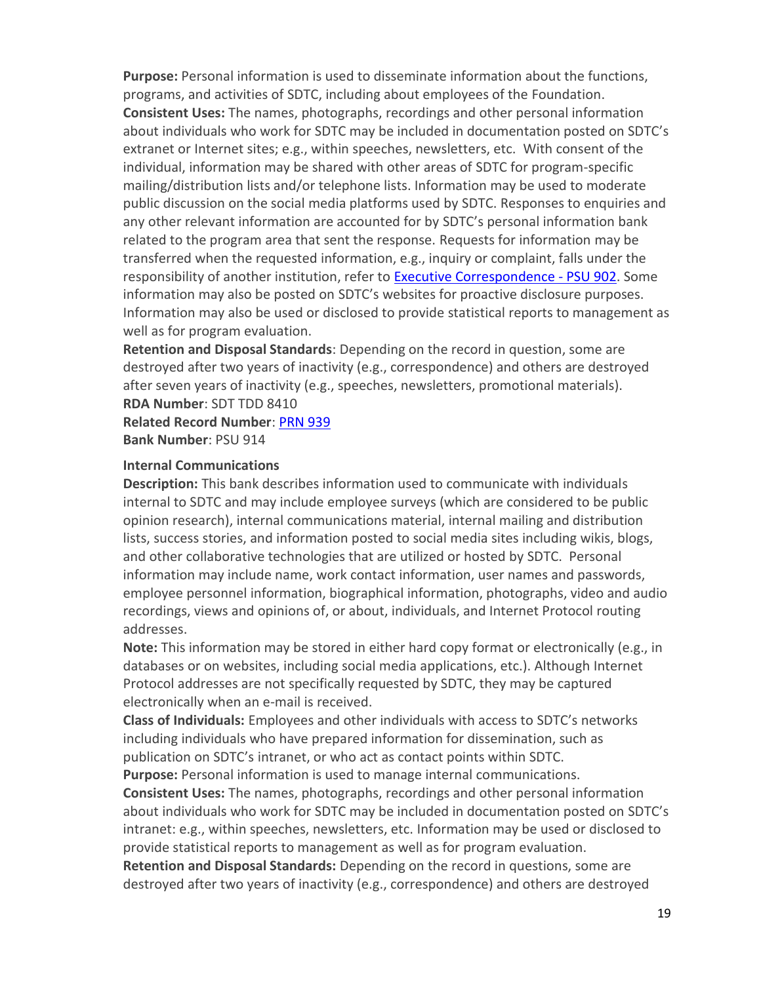**Purpose:** Personal information is used to disseminate information about the functions, programs, and activities of SDTC, including about employees of the Foundation. **Consistent Uses:** The names, photographs, recordings and other personal information about individuals who work for SDTC may be included in documentation posted on SDTC's extranet or Internet sites; e.g., within speeches, newsletters, etc. With consent of the individual, information may be shared with other areas of SDTC for program-specific mailing/distribution lists and/or telephone lists. Information may be used to moderate public discussion on the social media platforms used by SDTC. Responses to enquiries and any other relevant information are accounted for by SDTC's personal information bank related to the program area that sent the response. Requests for information may be transferred when the requested information, e.g., inquiry or complaint, falls under the responsibility of another institution, refer to **[Executive Correspondence -](#page-21-1) PSU 902.** Some information may also be posted on SDTC's websites for proactive disclosure purposes. Information may also be used or disclosed to provide statistical reports to management as well as for program evaluation.

**Retention and Disposal Standards**: Depending on the record in question, some are destroyed after two years of inactivity (e.g., correspondence) and others are destroyed after seven years of inactivity (e.g., speeches, newsletters, promotional materials). **RDA Number**: SDT TDD 8410

**Related Record Number**: [PRN 939](#page-16-3)

**Bank Number**: PSU 914

#### **Internal Communications**

**Description:** This bank describes information used to communicate with individuals internal to SDTC and may include employee surveys (which are considered to be public opinion research), internal communications material, internal mailing and distribution lists, success stories, and information posted to social media sites including wikis, blogs, and other collaborative technologies that are utilized or hosted by SDTC. Personal information may include name, work contact information, user names and passwords, employee personnel information, biographical information, photographs, video and audio recordings, views and opinions of, or about, individuals, and Internet Protocol routing addresses.

**Note:** This information may be stored in either hard copy format or electronically (e.g., in databases or on websites, including social media applications, etc.). Although Internet Protocol addresses are not specifically requested by SDTC, they may be captured electronically when an e-mail is received.

**Class of Individuals:** Employees and other individuals with access to SDTC's networks including individuals who have prepared information for dissemination, such as publication on SDTC's intranet, or who act as contact points within SDTC.

**Purpose:** Personal information is used to manage internal communications. **Consistent Uses:** The names, photographs, recordings and other personal information about individuals who work for SDTC may be included in documentation posted on SDTC's intranet: e.g., within speeches, newsletters, etc. Information may be used or disclosed to provide statistical reports to management as well as for program evaluation.

**Retention and Disposal Standards:** Depending on the record in questions, some are destroyed after two years of inactivity (e.g., correspondence) and others are destroyed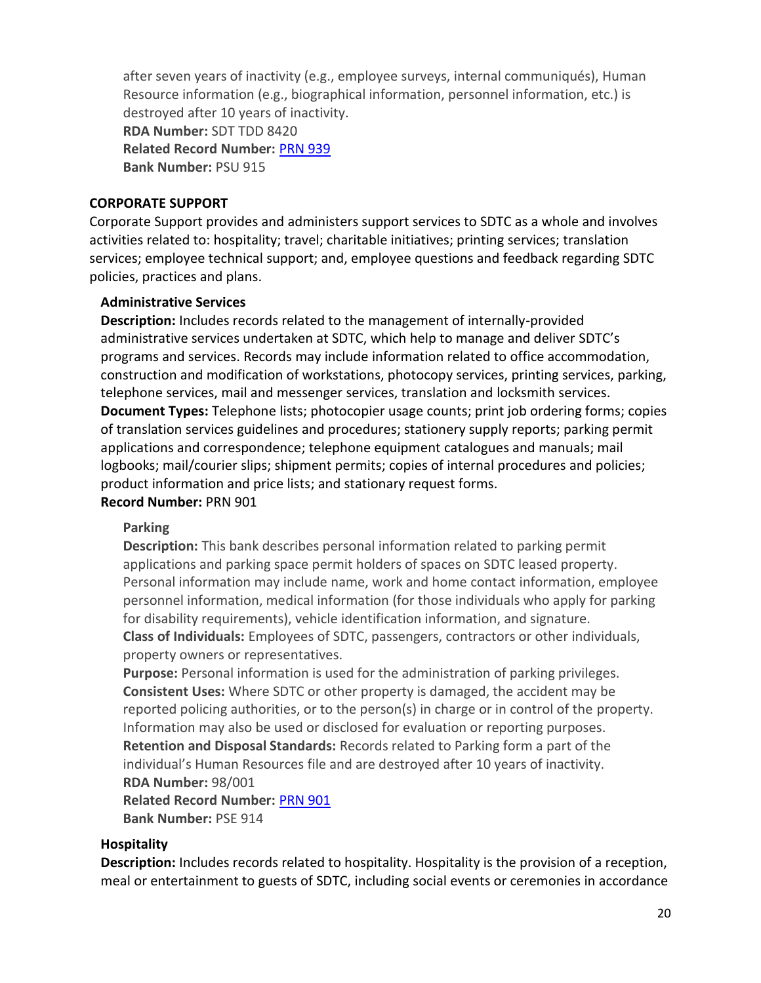after seven years of inactivity (e.g., employee surveys, internal communiqués), Human Resource information (e.g., biographical information, personnel information, etc.) is destroyed after 10 years of inactivity. **RDA Number:** SDT TDD 8420 **Related Record Number:** [PRN 939](#page-16-3) **Bank Number:** PSU 915

#### <span id="page-19-0"></span>**CORPORATE SUPPORT**

Corporate Support provides and administers support services to SDTC as a whole and involves activities related to: hospitality; travel; charitable initiatives; printing services; translation services; employee technical support; and, employee questions and feedback regarding SDTC policies, practices and plans.

#### <span id="page-19-1"></span>**Administrative Services**

**Description:** Includes records related to the management of internally-provided administrative services undertaken at SDTC, which help to manage and deliver SDTC's programs and services. Records may include information related to office accommodation, construction and modification of workstations, photocopy services, printing services, parking, telephone services, mail and messenger services, translation and locksmith services. **Document Types:** Telephone lists; photocopier usage counts; print job ordering forms; copies of translation services guidelines and procedures; stationery supply reports; parking permit applications and correspondence; telephone equipment catalogues and manuals; mail logbooks; mail/courier slips; shipment permits; copies of internal procedures and policies; product information and price lists; and stationary request forms.

#### **Record Number:** PRN 901

#### **Parking**

**Description:** This bank describes personal information related to parking permit applications and parking space permit holders of spaces on SDTC leased property. Personal information may include name, work and home contact information, employee personnel information, medical information (for those individuals who apply for parking for disability requirements), vehicle identification information, and signature. **Class of Individuals:** Employees of SDTC, passengers, contractors or other individuals, property owners or representatives.

**Purpose:** Personal information is used for the administration of parking privileges. **Consistent Uses:** Where SDTC or other property is damaged, the accident may be reported policing authorities, or to the person(s) in charge or in control of the property. Information may also be used or disclosed for evaluation or reporting purposes. **Retention and Disposal Standards:** Records related to Parking form a part of the individual's Human Resources file and are destroyed after 10 years of inactivity. **RDA Number:** 98/001

**Related Record Number:** [PRN 901](#page-19-1) **Bank Number:** PSE 914

#### <span id="page-19-2"></span>**Hospitality**

**Description:** Includes records related to hospitality. Hospitality is the provision of a reception, meal or entertainment to guests of SDTC, including social events or ceremonies in accordance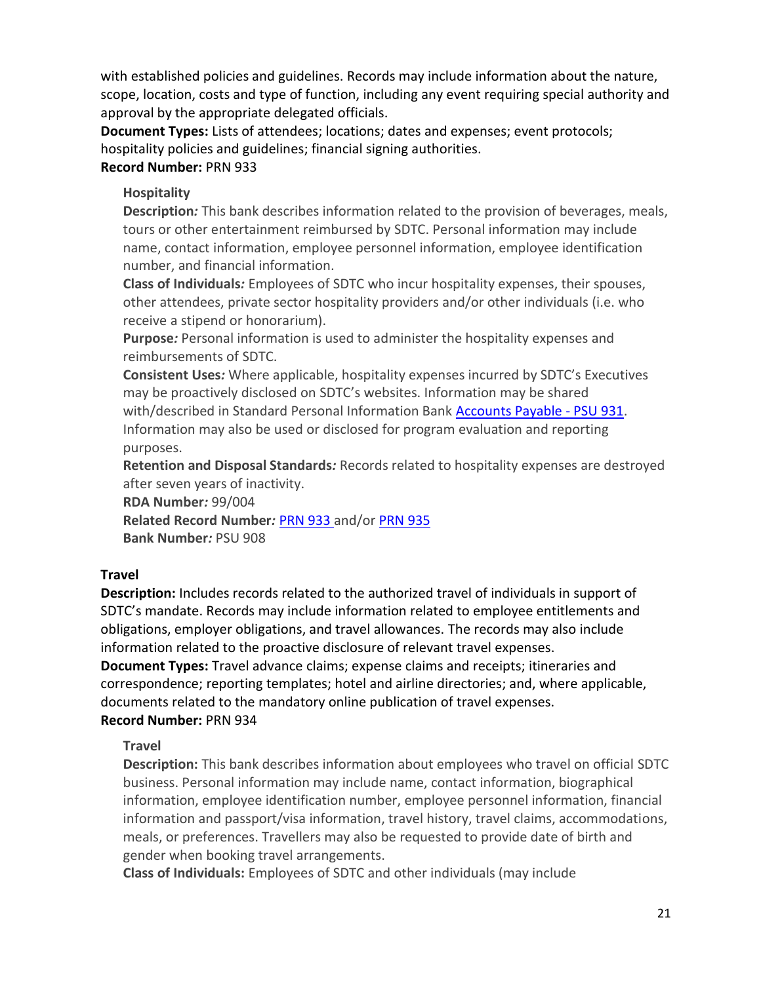with established policies and guidelines. Records may include information about the nature, scope, location, costs and type of function, including any event requiring special authority and approval by the appropriate delegated officials.

**Document Types:** Lists of attendees; locations; dates and expenses; event protocols; hospitality policies and guidelines; financial signing authorities.

## **Record Number:** PRN 933

## **Hospitality**

**Description***:* This bank describes information related to the provision of beverages, meals, tours or other entertainment reimbursed by SDTC. Personal information may include name, contact information, employee personnel information, employee identification number, and financial information.

**Class of Individuals***:* Employees of SDTC who incur hospitality expenses, their spouses, other attendees, private sector hospitality providers and/or other individuals (i.e. who receive a stipend or honorarium).

**Purpose***:* Personal information is used to administer the hospitality expenses and reimbursements of SDTC.

**Consistent Uses***:* Where applicable, hospitality expenses incurred by SDTC's Executives may be proactively disclosed on SDTC's websites. Information may be shared with/described in Standard Personal Information Bank [Accounts Payable -](#page-23-0) PSU 931. Information may also be used or disclosed for program evaluation and reporting purposes.

**Retention and Disposal Standards***:* Records related to hospitality expenses are destroyed after seven years of inactivity.

**RDA Number***:* 99/004

**Related Record Number***:* [PRN 933](#page-19-2) and/or [PRN 935](#page-16-2) **Bank Number***:* PSU 908

## <span id="page-20-0"></span>**Travel**

**Description:** Includes records related to the authorized travel of individuals in support of SDTC's mandate. Records may include information related to employee entitlements and obligations, employer obligations, and travel allowances. The records may also include information related to the proactive disclosure of relevant travel expenses.

**Document Types:** Travel advance claims; expense claims and receipts; itineraries and correspondence; reporting templates; hotel and airline directories; and, where applicable, documents related to the mandatory online publication of travel expenses. **Record Number:** PRN 934

## **Travel**

**Description:** This bank describes information about employees who travel on official SDTC business. Personal information may include name, contact information, biographical information, employee identification number, employee personnel information, financial information and passport/visa information, travel history, travel claims, accommodations, meals, or preferences. Travellers may also be requested to provide date of birth and gender when booking travel arrangements.

**Class of Individuals:** Employees of SDTC and other individuals (may include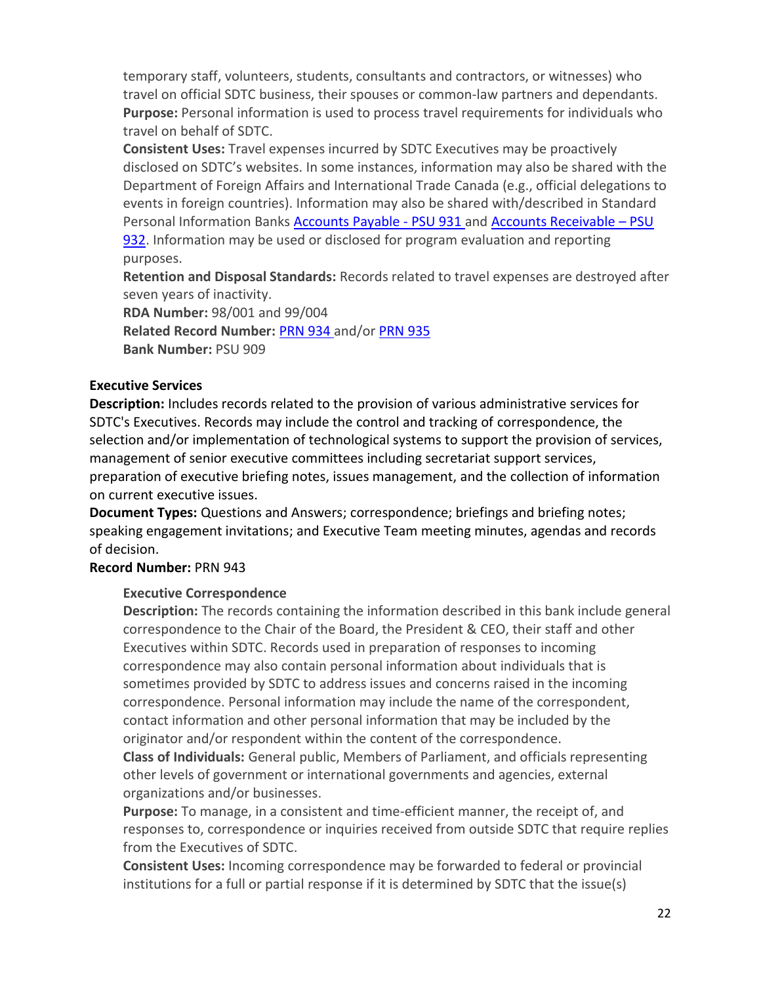temporary staff, volunteers, students, consultants and contractors, or witnesses) who travel on official SDTC business, their spouses or common-law partners and dependants. **Purpose:** Personal information is used to process travel requirements for individuals who travel on behalf of SDTC.

**Consistent Uses:** Travel expenses incurred by SDTC Executives may be proactively disclosed on SDTC's websites. In some instances, information may also be shared with the Department of Foreign Affairs and International Trade Canada (e.g., official delegations to events in foreign countries). Information may also be shared with/described in Standard Personal Information Banks [Accounts Payable -](#page-23-0) PSU 931 and [Accounts Receivable](#page-23-1) – PSU [932.](#page-23-1) Information may be used or disclosed for program evaluation and reporting purposes.

**Retention and Disposal Standards:** Records related to travel expenses are destroyed after seven years of inactivity.

**RDA Number:** 98/001 and 99/004 **Related Record Number:** [PRN 934](#page-20-0) and/or [PRN 935](#page-16-2) **Bank Number:** PSU 909

## <span id="page-21-0"></span>**Executive Services**

**Description:** Includes records related to the provision of various administrative services for SDTC's Executives. Records may include the control and tracking of correspondence, the selection and/or implementation of technological systems to support the provision of services, management of senior executive committees including secretariat support services, preparation of executive briefing notes, issues management, and the collection of information on current executive issues.

**Document Types:** Questions and Answers; correspondence; briefings and briefing notes; speaking engagement invitations; and Executive Team meeting minutes, agendas and records of decision.

## <span id="page-21-1"></span>**Record Number:** PRN 943

## **Executive Correspondence**

**Description:** The records containing the information described in this bank include general correspondence to the Chair of the Board, the President & CEO, their staff and other Executives within SDTC. Records used in preparation of responses to incoming correspondence may also contain personal information about individuals that is sometimes provided by SDTC to address issues and concerns raised in the incoming correspondence. Personal information may include the name of the correspondent, contact information and other personal information that may be included by the originator and/or respondent within the content of the correspondence.

**Class of Individuals:** General public, Members of Parliament, and officials representing other levels of government or international governments and agencies, external organizations and/or businesses.

**Purpose:** To manage, in a consistent and time-efficient manner, the receipt of, and responses to, correspondence or inquiries received from outside SDTC that require replies from the Executives of SDTC.

**Consistent Uses:** Incoming correspondence may be forwarded to federal or provincial institutions for a full or partial response if it is determined by SDTC that the issue(s)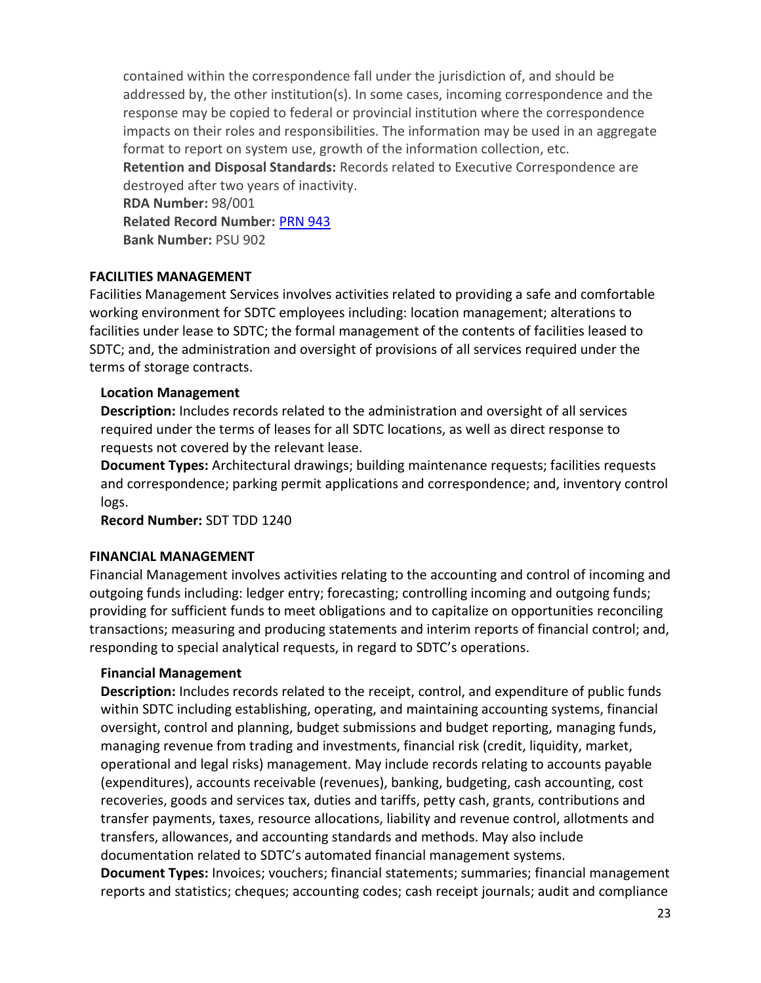contained within the correspondence fall under the jurisdiction of, and should be addressed by, the other institution(s). In some cases, incoming correspondence and the response may be copied to federal or provincial institution where the correspondence impacts on their roles and responsibilities. The information may be used in an aggregate format to report on system use, growth of the information collection, etc.

**Retention and Disposal Standards:** Records related to Executive Correspondence are destroyed after two years of inactivity.

**RDA Number:** 98/001 **Related Record Number:** [PRN 943](#page-21-0) **Bank Number:** PSU 902

## <span id="page-22-0"></span>**FACILITIES MANAGEMENT**

Facilities Management Services involves activities related to providing a safe and comfortable working environment for SDTC employees including: location management; alterations to facilities under lease to SDTC; the formal management of the contents of facilities leased to SDTC; and, the administration and oversight of provisions of all services required under the terms of storage contracts.

## <span id="page-22-1"></span>**Location Management**

**Description:** Includes records related to the administration and oversight of all services required under the terms of leases for all SDTC locations, as well as direct response to requests not covered by the relevant lease.

**Document Types:** Architectural drawings; building maintenance requests; facilities requests and correspondence; parking permit applications and correspondence; and, inventory control logs.

**Record Number:** SDT TDD 1240

## <span id="page-22-2"></span>**FINANCIAL MANAGEMENT**

Financial Management involves activities relating to the accounting and control of incoming and outgoing funds including: ledger entry; forecasting; controlling incoming and outgoing funds; providing for sufficient funds to meet obligations and to capitalize on opportunities reconciling transactions; measuring and producing statements and interim reports of financial control; and, responding to special analytical requests, in regard to SDTC's operations.

## <span id="page-22-3"></span>**Financial Management**

**Description:** Includes records related to the receipt, control, and expenditure of public funds within SDTC including establishing, operating, and maintaining accounting systems, financial oversight, control and planning, budget submissions and budget reporting, managing funds, managing revenue from trading and investments, financial risk (credit, liquidity, market, operational and legal risks) management. May include records relating to accounts payable (expenditures), accounts receivable (revenues), banking, budgeting, cash accounting, cost recoveries, goods and services tax, duties and tariffs, petty cash, grants, contributions and transfer payments, taxes, resource allocations, liability and revenue control, allotments and transfers, allowances, and accounting standards and methods. May also include documentation related to SDTC's automated financial management systems.

**Document Types:** Invoices; vouchers; financial statements; summaries; financial management reports and statistics; cheques; accounting codes; cash receipt journals; audit and compliance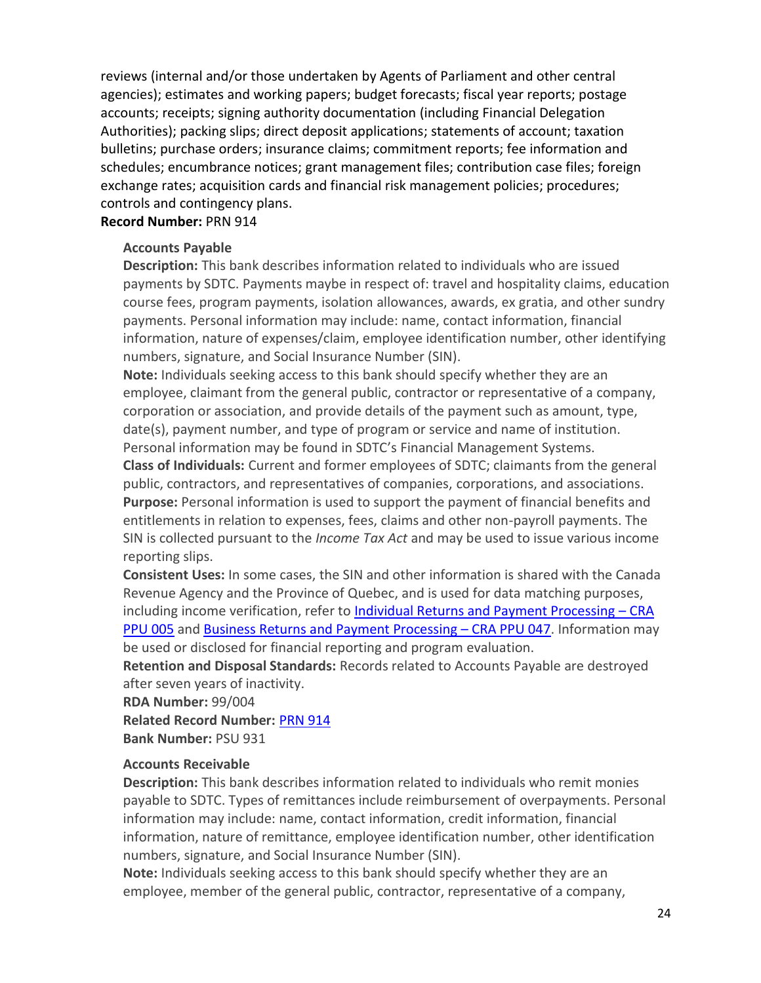reviews (internal and/or those undertaken by Agents of Parliament and other central agencies); estimates and working papers; budget forecasts; fiscal year reports; postage accounts; receipts; signing authority documentation (including Financial Delegation Authorities); packing slips; direct deposit applications; statements of account; taxation bulletins; purchase orders; insurance claims; commitment reports; fee information and schedules; encumbrance notices; grant management files; contribution case files; foreign exchange rates; acquisition cards and financial risk management policies; procedures; controls and contingency plans.

#### <span id="page-23-0"></span>**Record Number:** PRN 914

#### **Accounts Payable**

**Description:** This bank describes information related to individuals who are issued payments by SDTC. Payments maybe in respect of: travel and hospitality claims, education course fees, program payments, isolation allowances, awards, ex gratia, and other sundry payments. Personal information may include: name, contact information, financial information, nature of expenses/claim, employee identification number, other identifying numbers, signature, and Social Insurance Number (SIN).

**Note:** Individuals seeking access to this bank should specify whether they are an employee, claimant from the general public, contractor or representative of a company, corporation or association, and provide details of the payment such as amount, type, date(s), payment number, and type of program or service and name of institution. Personal information may be found in SDTC's Financial Management Systems.

**Class of Individuals:** Current and former employees of SDTC; claimants from the general public, contractors, and representatives of companies, corporations, and associations. **Purpose:** Personal information is used to support the payment of financial benefits and entitlements in relation to expenses, fees, claims and other non-payroll payments. The SIN is collected pursuant to the *Income Tax Act* and may be used to issue various income reporting slips.

**Consistent Uses:** In some cases, the SIN and other information is shared with the Canada Revenue Agency and the Province of Quebec, and is used for data matching purposes, including income verification, refer to [Individual Returns and Payment Processing](http://www.cra-arc.gc.ca/gncy/tp/nfsrc/pbapdx-eng.html#PPU005) – CRA [PPU 005](http://www.cra-arc.gc.ca/gncy/tp/nfsrc/pbapdx-eng.html#PPU005) and [Business Returns and Payment Processing](http://www.cra-arc.gc.ca/gncy/tp/nfsrc/pbapdx-eng.html#PPU047) – CRA PPU 047. Information may be used or disclosed for financial reporting and program evaluation.

**Retention and Disposal Standards:** Records related to Accounts Payable are destroyed after seven years of inactivity.

**RDA Number:** 99/004

**Related Record Number:** [PRN 914](#page-22-3) **Bank Number:** PSU 931

#### <span id="page-23-1"></span>**Accounts Receivable**

**Description:** This bank describes information related to individuals who remit monies payable to SDTC. Types of remittances include reimbursement of overpayments. Personal information may include: name, contact information, credit information, financial information, nature of remittance, employee identification number, other identification numbers, signature, and Social Insurance Number (SIN).

**Note:** Individuals seeking access to this bank should specify whether they are an employee, member of the general public, contractor, representative of a company,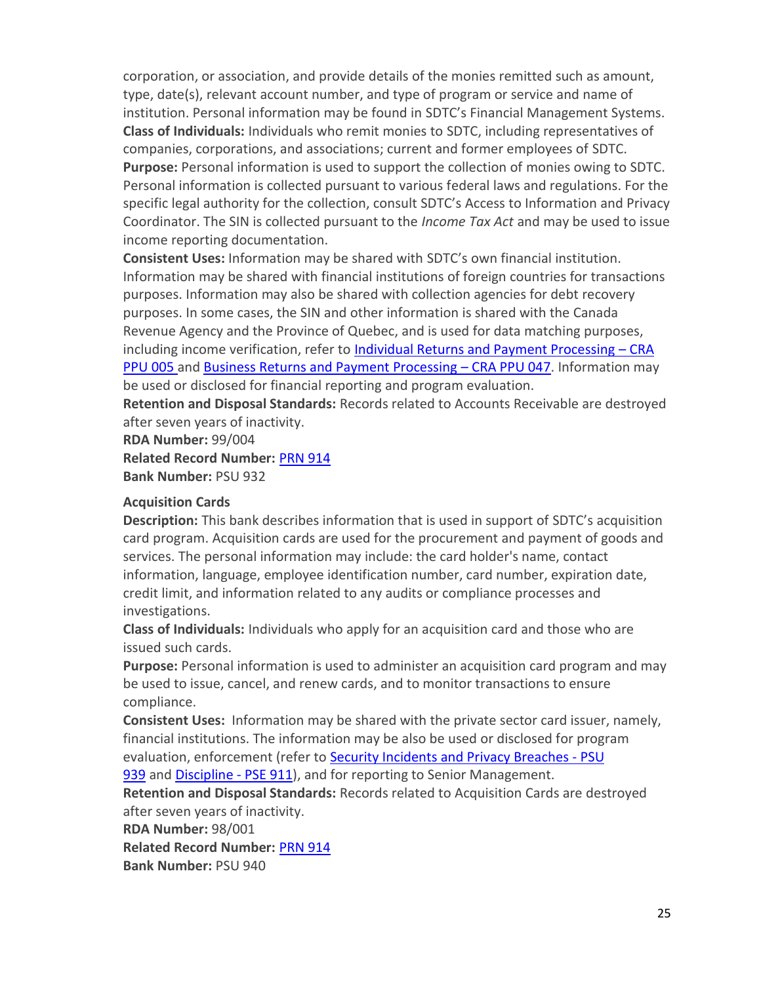corporation, or association, and provide details of the monies remitted such as amount, type, date(s), relevant account number, and type of program or service and name of institution. Personal information may be found in SDTC's Financial Management Systems. **Class of Individuals:** Individuals who remit monies to SDTC, including representatives of companies, corporations, and associations; current and former employees of SDTC. **Purpose:** Personal information is used to support the collection of monies owing to SDTC. Personal information is collected pursuant to various federal laws and regulations. For the specific legal authority for the collection, consult SDTC's Access to Information and Privacy Coordinator. The SIN is collected pursuant to the *Income Tax Act* and may be used to issue income reporting documentation.

**Consistent Uses:** Information may be shared with SDTC's own financial institution. Information may be shared with financial institutions of foreign countries for transactions purposes. Information may also be shared with collection agencies for debt recovery purposes. In some cases, the SIN and other information is shared with the Canada Revenue Agency and the Province of Quebec, and is used for data matching purposes, including income verification, refer to [Individual Returns and Payment Processing](http://www.cra-arc.gc.ca/gncy/tp/nfsrc/pbapdx-eng.html#PPU005) – CRA [PPU 005](http://www.cra-arc.gc.ca/gncy/tp/nfsrc/pbapdx-eng.html#PPU005) and [Business Returns and Payment Processing](http://www.cra-arc.gc.ca/gncy/tp/nfsrc/pbapdx-eng.html#PPU047) – CRA PPU 047. Information may be used or disclosed for financial reporting and program evaluation.

**Retention and Disposal Standards:** Records related to Accounts Receivable are destroyed after seven years of inactivity.

**RDA Number:** 99/004 **Related Record Number:** [PRN 914](#page-22-3) **Bank Number:** PSU 932

#### **Acquisition Cards**

**Description:** This bank describes information that is used in support of SDTC's acquisition card program. Acquisition cards are used for the procurement and payment of goods and services. The personal information may include: the card holder's name, contact information, language, employee identification number, card number, expiration date, credit limit, and information related to any audits or compliance processes and investigations.

**Class of Individuals:** Individuals who apply for an acquisition card and those who are issued such cards.

**Purpose:** Personal information is used to administer an acquisition card program and may be used to issue, cancel, and renew cards, and to monitor transactions to ensure compliance.

**Consistent Uses:** Information may be shared with the private sector card issuer, namely, financial institutions. The information may be also be used or disclosed for program evaluation, enforcement (refer to [Security Incidents and Privacy Breaches -](#page-39-0) PSU

[939](#page-39-0) and [Discipline -](#page-31-1) PSE 911), and for reporting to Senior Management.

**Retention and Disposal Standards:** Records related to Acquisition Cards are destroyed after seven years of inactivity.

**RDA Number:** 98/001

**Related Record Number:** [PRN 914](#page-22-3)

**Bank Number:** PSU 940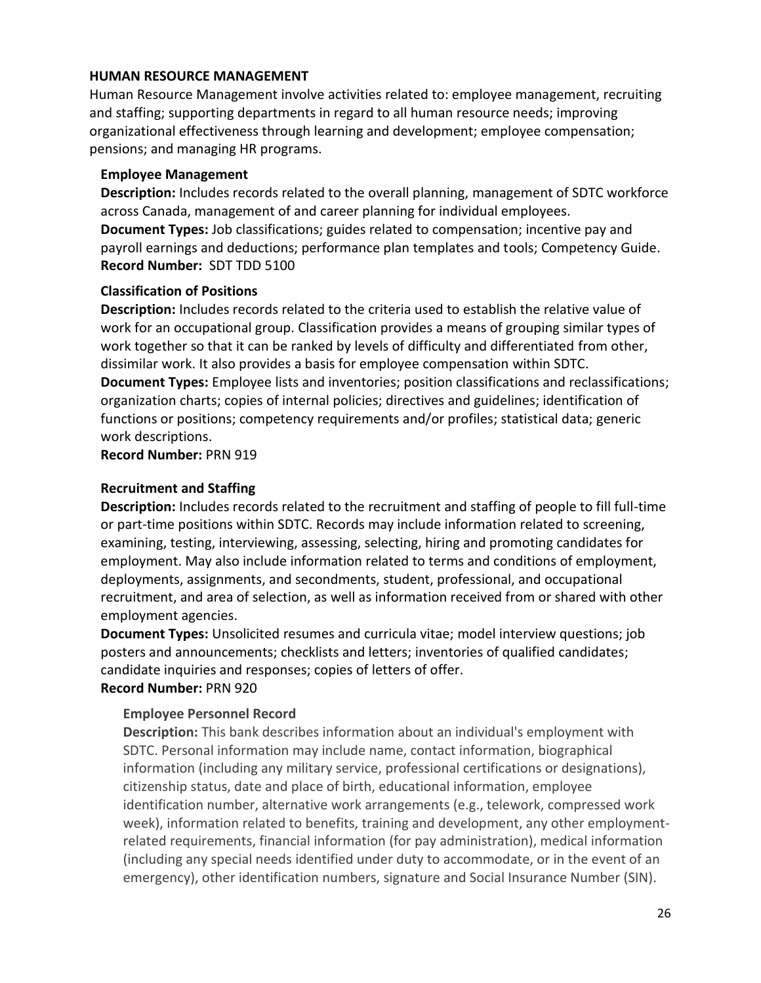#### <span id="page-25-0"></span>**HUMAN RESOURCE MANAGEMENT**

Human Resource Management involve activities related to: employee management, recruiting and staffing; supporting departments in regard to all human resource needs; improving organizational effectiveness through learning and development; employee compensation; pensions; and managing HR programs.

#### <span id="page-25-1"></span>**Employee Management**

**Description:** Includes records related to the overall planning, management of SDTC workforce across Canada, management of and career planning for individual employees. **Document Types:** Job classifications; guides related to compensation; incentive pay and payroll earnings and deductions; performance plan templates and tools; Competency Guide. **Record Number:** SDT TDD 5100

#### <span id="page-25-2"></span>**Classification of Positions**

**Description:** Includes records related to the criteria used to establish the relative value of work for an occupational group. Classification provides a means of grouping similar types of work together so that it can be ranked by levels of difficulty and differentiated from other, dissimilar work. It also provides a basis for employee compensation within SDTC. **Document Types:** Employee lists and inventories; position classifications and reclassifications; organization charts; copies of internal policies; directives and guidelines; identification of functions or positions; competency requirements and/or profiles; statistical data; generic work descriptions.

#### <span id="page-25-3"></span>**Record Number:** PRN 919

#### **Recruitment and Staffing**

**Description:** Includes records related to the recruitment and staffing of people to fill full-time or part-time positions within SDTC. Records may include information related to screening, examining, testing, interviewing, assessing, selecting, hiring and promoting candidates for employment. May also include information related to terms and conditions of employment, deployments, assignments, and secondments, student, professional, and occupational recruitment, and area of selection, as well as information received from or shared with other employment agencies.

**Document Types:** Unsolicited resumes and curricula vitae; model interview questions; job posters and announcements; checklists and letters; inventories of qualified candidates; candidate inquiries and responses; copies of letters of offer.

## **Record Number:** PRN 920

## <span id="page-25-4"></span>**Employee Personnel Record**

**Description:** This bank describes information about an individual's employment with SDTC. Personal information may include name, contact information, biographical information (including any military service, professional certifications or designations), citizenship status, date and place of birth, educational information, employee identification number, alternative work arrangements (e.g., telework, compressed work week), information related to benefits, training and development, any other employmentrelated requirements, financial information (for pay administration), medical information (including any special needs identified under duty to accommodate, or in the event of an emergency), other identification numbers, signature and Social Insurance Number (SIN).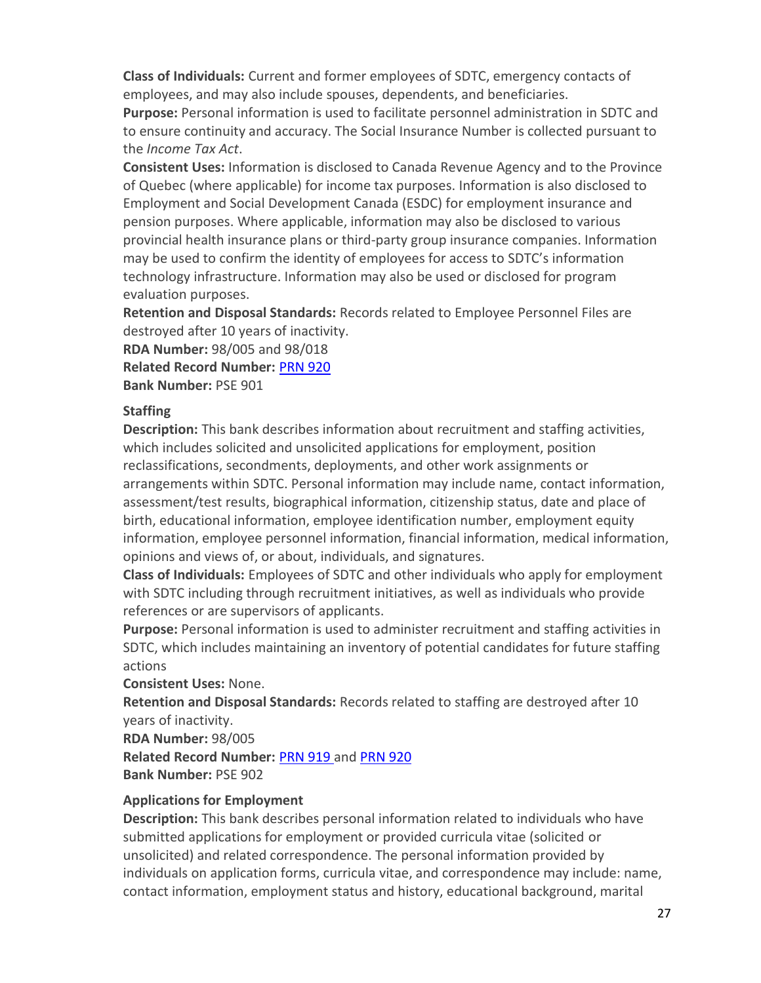**Class of Individuals:** Current and former employees of SDTC, emergency contacts of employees, and may also include spouses, dependents, and beneficiaries.

**Purpose:** Personal information is used to facilitate personnel administration in SDTC and to ensure continuity and accuracy. The Social Insurance Number is collected pursuant to the *Income Tax Act*.

**Consistent Uses:** Information is disclosed to Canada Revenue Agency and to the Province of Quebec (where applicable) for income tax purposes. Information is also disclosed to Employment and Social Development Canada (ESDC) for employment insurance and pension purposes. Where applicable, information may also be disclosed to various provincial health insurance plans or third-party group insurance companies. Information may be used to confirm the identity of employees for access to SDTC's information technology infrastructure. Information may also be used or disclosed for program evaluation purposes.

**Retention and Disposal Standards:** Records related to Employee Personnel Files are destroyed after 10 years of inactivity.

**RDA Number:** 98/005 and 98/018

**Related Record Number:** [PRN 920](#page-25-3)

**Bank Number:** PSE 901

## <span id="page-26-0"></span>**Staffing**

**Description:** This bank describes information about recruitment and staffing activities, which includes solicited and unsolicited applications for employment, position reclassifications, secondments, deployments, and other work assignments or arrangements within SDTC. Personal information may include name, contact information, assessment/test results, biographical information, citizenship status, date and place of birth, educational information, employee identification number, employment equity information, employee personnel information, financial information, medical information, opinions and views of, or about, individuals, and signatures.

**Class of Individuals:** Employees of SDTC and other individuals who apply for employment with SDTC including through recruitment initiatives, as well as individuals who provide references or are supervisors of applicants.

**Purpose:** Personal information is used to administer recruitment and staffing activities in SDTC, which includes maintaining an inventory of potential candidates for future staffing actions

**Consistent Uses:** None.

**Retention and Disposal Standards:** Records related to staffing are destroyed after 10 years of inactivity.

**RDA Number:** 98/005

**Related Record Number:** [PRN 919](#page-25-2) and [PRN 920](#page-25-3) **Bank Number:** PSE 902

**Applications for Employment**

**Description:** This bank describes personal information related to individuals who have submitted applications for employment or provided curricula vitae (solicited or unsolicited) and related correspondence. The personal information provided by individuals on application forms, curricula vitae, and correspondence may include: name, contact information, employment status and history, educational background, marital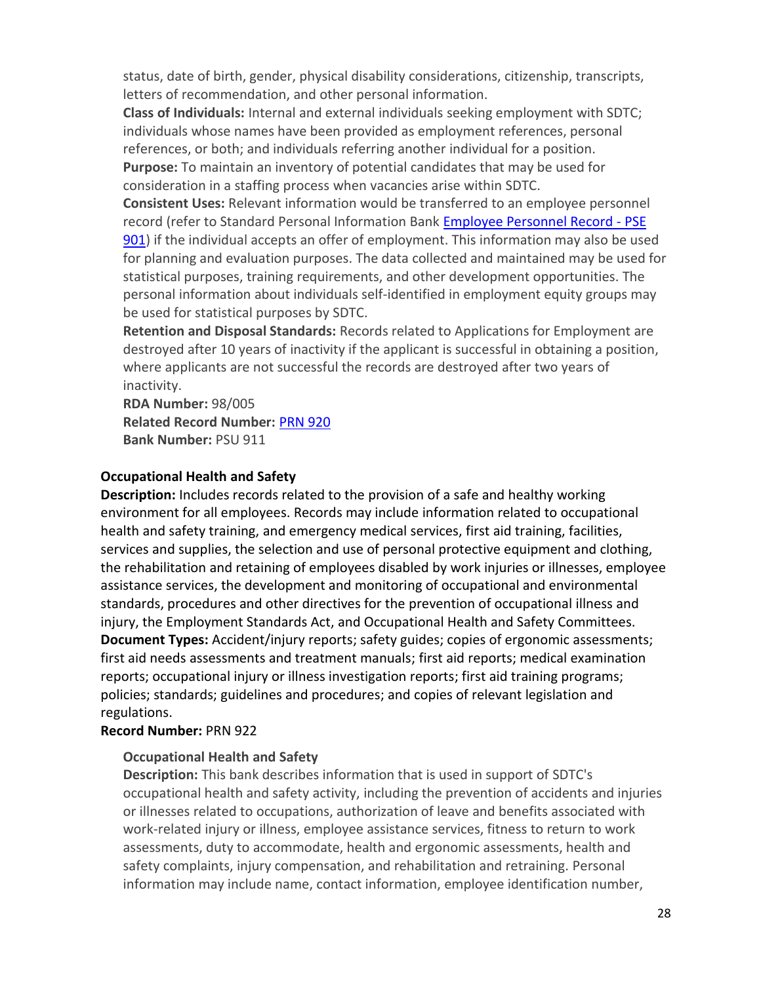status, date of birth, gender, physical disability considerations, citizenship, transcripts, letters of recommendation, and other personal information.

**Class of Individuals:** Internal and external individuals seeking employment with SDTC; individuals whose names have been provided as employment references, personal references, or both; and individuals referring another individual for a position. **Purpose:** To maintain an inventory of potential candidates that may be used for consideration in a staffing process when vacancies arise within SDTC.

**Consistent Uses:** Relevant information would be transferred to an employee personnel record (refer to Standard Personal Information Bank [Employee Personnel Record -](#page-25-4) PSE [901\)](#page-25-4) if the individual accepts an offer of employment. This information may also be used for planning and evaluation purposes. The data collected and maintained may be used for statistical purposes, training requirements, and other development opportunities. The personal information about individuals self-identified in employment equity groups may be used for statistical purposes by SDTC.

**Retention and Disposal Standards:** Records related to Applications for Employment are destroyed after 10 years of inactivity if the applicant is successful in obtaining a position, where applicants are not successful the records are destroyed after two years of inactivity.

<span id="page-27-0"></span>**RDA Number:** 98/005 **Related Record Number:** [PRN 920](#page-25-3) **Bank Number:** PSU 911

#### **Occupational Health and Safety**

**Description:** Includes records related to the provision of a safe and healthy working environment for all employees. Records may include information related to occupational health and safety training, and emergency medical services, first aid training, facilities, services and supplies, the selection and use of personal protective equipment and clothing, the rehabilitation and retaining of employees disabled by work injuries or illnesses, employee assistance services, the development and monitoring of occupational and environmental standards, procedures and other directives for the prevention of occupational illness and injury, the Employment Standards Act, and Occupational Health and Safety Committees. **Document Types:** Accident/injury reports; safety guides; copies of ergonomic assessments; first aid needs assessments and treatment manuals; first aid reports; medical examination reports; occupational injury or illness investigation reports; first aid training programs; policies; standards; guidelines and procedures; and copies of relevant legislation and regulations.

## <span id="page-27-1"></span>**Record Number:** PRN 922

## **Occupational Health and Safety**

**Description:** This bank describes information that is used in support of SDTC's occupational health and safety activity, including the prevention of accidents and injuries or illnesses related to occupations, authorization of leave and benefits associated with work-related injury or illness, employee assistance services, fitness to return to work assessments, duty to accommodate, health and ergonomic assessments, health and safety complaints, injury compensation, and rehabilitation and retraining. Personal information may include name, contact information, employee identification number,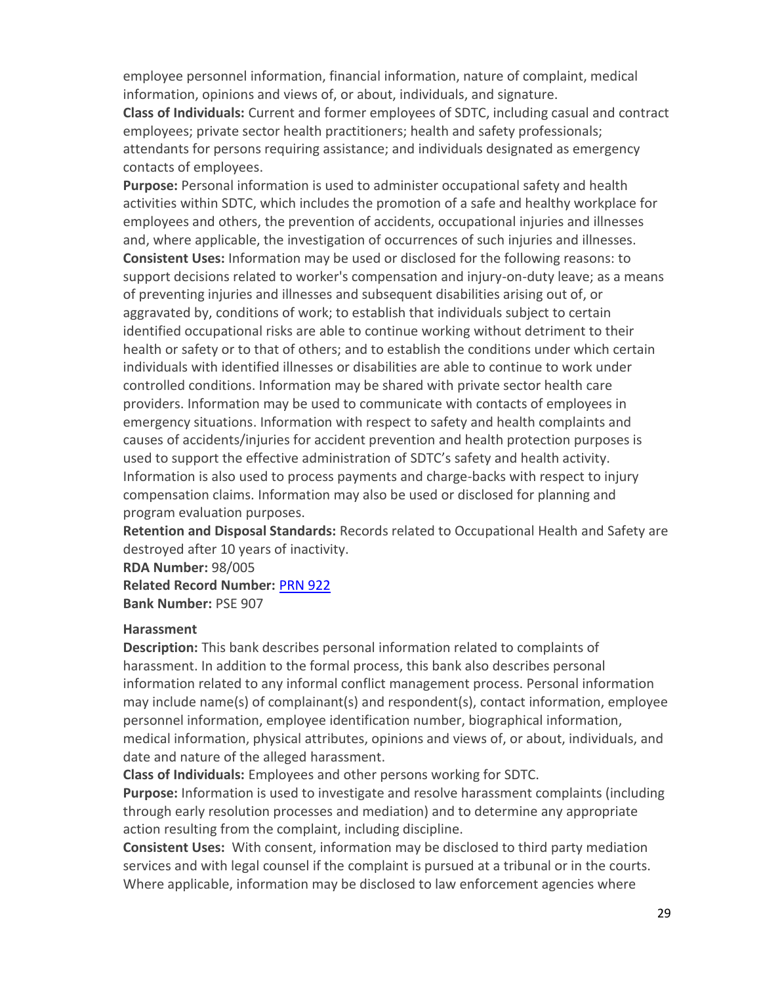employee personnel information, financial information, nature of complaint, medical information, opinions and views of, or about, individuals, and signature.

**Class of Individuals:** Current and former employees of SDTC, including casual and contract employees; private sector health practitioners; health and safety professionals; attendants for persons requiring assistance; and individuals designated as emergency contacts of employees.

**Purpose:** Personal information is used to administer occupational safety and health activities within SDTC, which includes the promotion of a safe and healthy workplace for employees and others, the prevention of accidents, occupational injuries and illnesses and, where applicable, the investigation of occurrences of such injuries and illnesses. **Consistent Uses:** Information may be used or disclosed for the following reasons: to support decisions related to worker's compensation and injury-on-duty leave; as a means of preventing injuries and illnesses and subsequent disabilities arising out of, or aggravated by, conditions of work; to establish that individuals subject to certain identified occupational risks are able to continue working without detriment to their health or safety or to that of others; and to establish the conditions under which certain individuals with identified illnesses or disabilities are able to continue to work under controlled conditions. Information may be shared with private sector health care providers. Information may be used to communicate with contacts of employees in emergency situations. Information with respect to safety and health complaints and causes of accidents/injuries for accident prevention and health protection purposes is used to support the effective administration of SDTC's safety and health activity. Information is also used to process payments and charge-backs with respect to injury compensation claims. Information may also be used or disclosed for planning and program evaluation purposes.

**Retention and Disposal Standards:** Records related to Occupational Health and Safety are destroyed after 10 years of inactivity.

**RDA Number:** 98/005 **Related Record Number:** [PRN 922](#page-27-0)

**Bank Number:** PSE 907

#### **Harassment**

**Description:** This bank describes personal information related to complaints of harassment. In addition to the formal process, this bank also describes personal information related to any informal conflict management process. Personal information may include name(s) of complainant(s) and respondent(s), contact information, employee personnel information, employee identification number, biographical information, medical information, physical attributes, opinions and views of, or about, individuals, and date and nature of the alleged harassment.

**Class of Individuals:** Employees and other persons working for SDTC.

**Purpose:** Information is used to investigate and resolve harassment complaints (including through early resolution processes and mediation) and to determine any appropriate action resulting from the complaint, including discipline.

**Consistent Uses:** With consent, information may be disclosed to third party mediation services and with legal counsel if the complaint is pursued at a tribunal or in the courts. Where applicable, information may be disclosed to law enforcement agencies where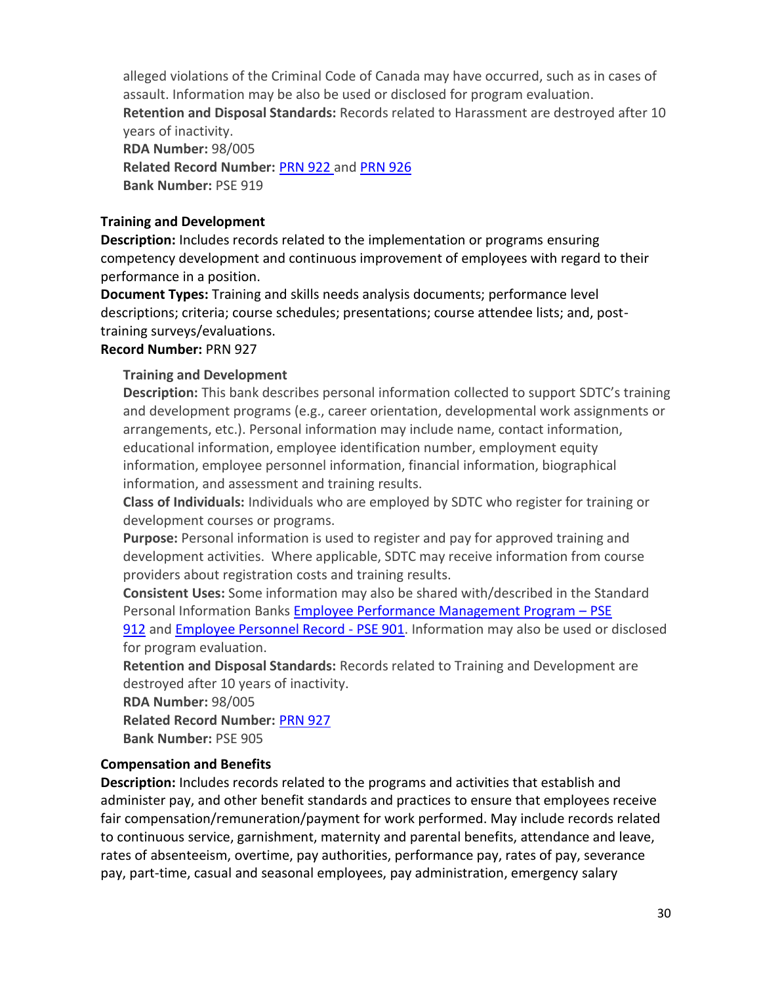alleged violations of the Criminal Code of Canada may have occurred, such as in cases of assault. Information may be also be used or disclosed for program evaluation. **Retention and Disposal Standards:** Records related to Harassment are destroyed after 10 years of inactivity. **RDA Number:** 98/005 **Related Record Number:** [PRN 922](#page-27-0) and PRN 926 **Bank Number:** PSE 919

#### <span id="page-29-0"></span>**Training and Development**

**Description:** Includes records related to the implementation or programs ensuring competency development and continuous improvement of employees with regard to their performance in a position.

**Document Types:** Training and skills needs analysis documents; performance level descriptions; criteria; course schedules; presentations; course attendee lists; and, posttraining surveys/evaluations.

#### <span id="page-29-2"></span>**Record Number:** PRN 927

#### **Training and Development**

**Description:** This bank describes personal information collected to support SDTC's training and development programs (e.g., career orientation, developmental work assignments or arrangements, etc.). Personal information may include name, contact information, educational information, employee identification number, employment equity information, employee personnel information, financial information, biographical information, and assessment and training results.

**Class of Individuals:** Individuals who are employed by SDTC who register for training or development courses or programs.

**Purpose:** Personal information is used to register and pay for approved training and development activities. Where applicable, SDTC may receive information from course providers about registration costs and training results.

**Consistent Uses:** Some information may also be shared with/described in the Standard Personal Information Banks [Employee Performance Management Program](#page-32-1) – PSE

[912](#page-32-1) and [Employee Personnel Record -](#page-25-4) PSE 901. Information may also be used or disclosed for program evaluation.

**Retention and Disposal Standards:** Records related to Training and Development are destroyed after 10 years of inactivity.

**RDA Number:** 98/005

**Related Record Number:** [PRN 927](#page-29-0)

**Bank Number:** PSE 905

## <span id="page-29-1"></span>**Compensation and Benefits**

**Description:** Includes records related to the programs and activities that establish and administer pay, and other benefit standards and practices to ensure that employees receive fair compensation/remuneration/payment for work performed. May include records related to continuous service, garnishment, maternity and parental benefits, attendance and leave, rates of absenteeism, overtime, pay authorities, performance pay, rates of pay, severance pay, part-time, casual and seasonal employees, pay administration, emergency salary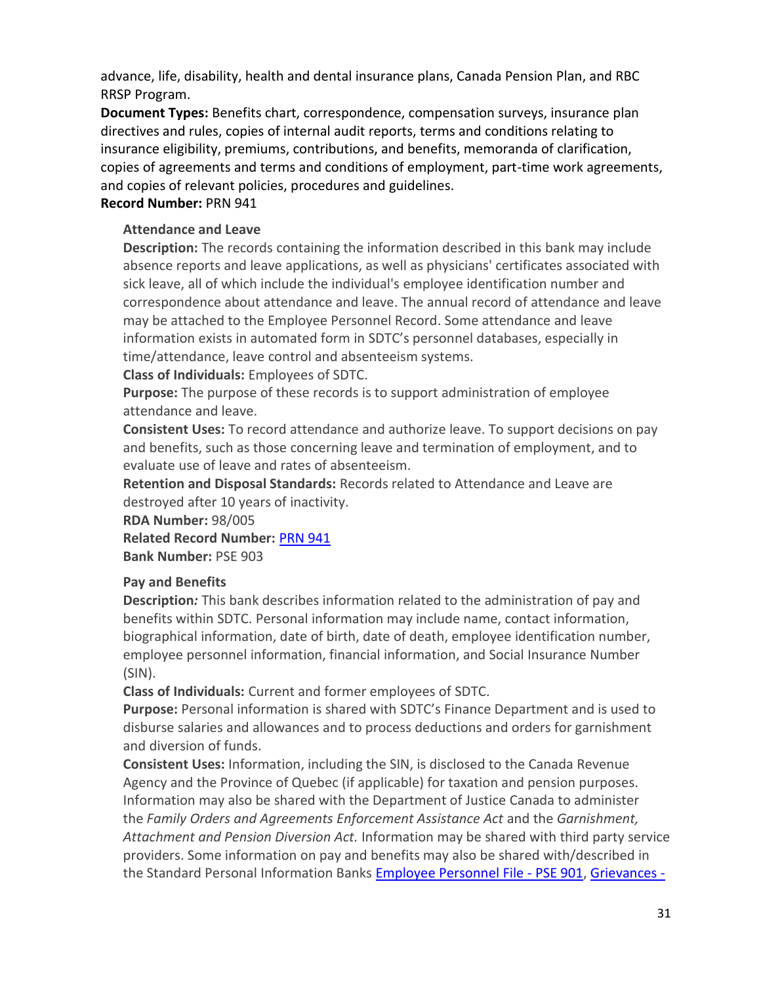advance, life, disability, health and dental insurance plans, Canada Pension Plan, and RBC RRSP Program.

**Document Types:** Benefits chart, correspondence, compensation surveys, insurance plan directives and rules, copies of internal audit reports, terms and conditions relating to insurance eligibility, premiums, contributions, and benefits, memoranda of clarification, copies of agreements and terms and conditions of employment, part-time work agreements, and copies of relevant policies, procedures and guidelines.

#### **Record Number:** PRN 941

#### **Attendance and Leave**

**Description:** The records containing the information described in this bank may include absence reports and leave applications, as well as physicians' certificates associated with sick leave, all of which include the individual's employee identification number and correspondence about attendance and leave. The annual record of attendance and leave may be attached to the Employee Personnel Record. Some attendance and leave information exists in automated form in SDTC's personnel databases, especially in time/attendance, leave control and absenteeism systems.

**Class of Individuals:** Employees of SDTC.

**Purpose:** The purpose of these records is to support administration of employee attendance and leave.

**Consistent Uses:** To record attendance and authorize leave. To support decisions on pay and benefits, such as those concerning leave and termination of employment, and to evaluate use of leave and rates of absenteeism.

**Retention and Disposal Standards:** Records related to Attendance and Leave are destroyed after 10 years of inactivity.

**RDA Number:** 98/005 **Related Record Number:** [PRN 941](#page-29-1) **Bank Number:** PSE 903

## <span id="page-30-0"></span>**Pay and Benefits**

**Description***:* This bank describes information related to the administration of pay and benefits within SDTC. Personal information may include name, contact information, biographical information, date of birth, date of death, employee identification number, employee personnel information, financial information, and Social Insurance Number (SIN).

**Class of Individuals:** Current and former employees of SDTC.

**Purpose:** Personal information is shared with SDTC's Finance Department and is used to disburse salaries and allowances and to process deductions and orders for garnishment and diversion of funds.

**Consistent Uses:** Information, including the SIN, is disclosed to the Canada Revenue Agency and the Province of Quebec (if applicable) for taxation and pension purposes. Information may also be shared with the Department of Justice Canada to administer the *Family Orders and Agreements Enforcement Assistance Act* and the *Garnishment, Attachment and Pension Diversion Act.* Information may be shared with third party service providers. Some information on pay and benefits may also be shared with/described in the Standard Personal Information Banks [Employee Personnel File](#page-25-4) - PSE 901, Grievances -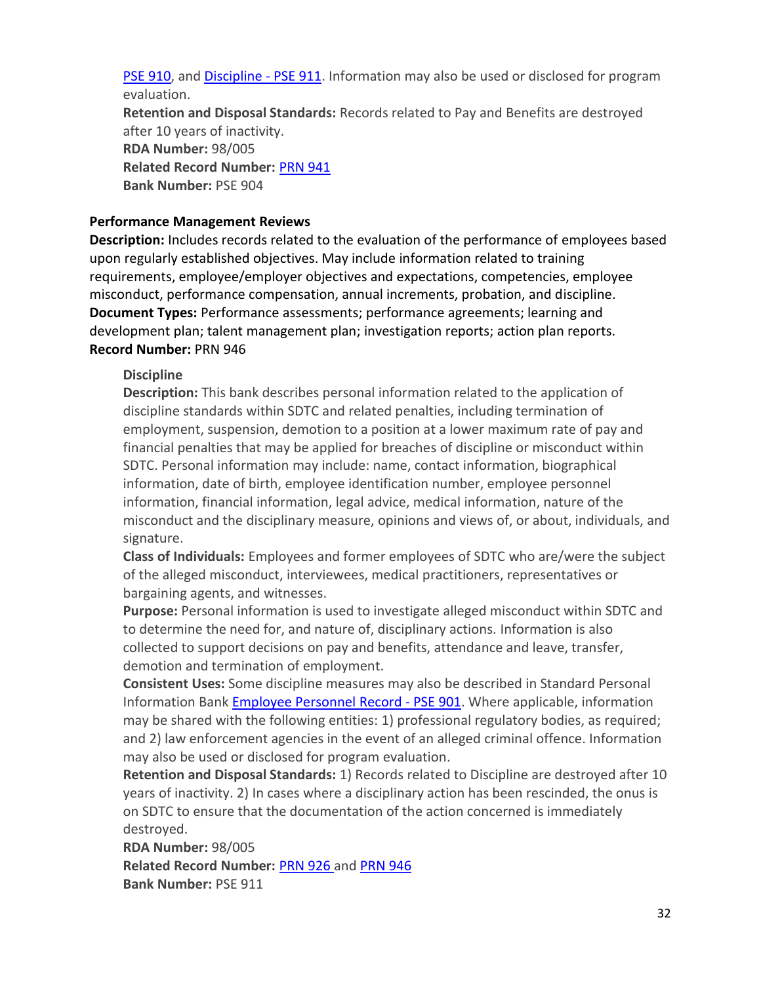PSE 910, and [Discipline -](#page-31-1) PSE 911. Information may also be used or disclosed for program evaluation.

**Retention and Disposal Standards:** Records related to Pay and Benefits are destroyed after 10 years of inactivity. **RDA Number:** 98/005 **Related Record Number:** [PRN 941](#page-29-1) **Bank Number:** PSE 904

#### <span id="page-31-0"></span>**Performance Management Reviews**

**Description:** Includes records related to the evaluation of the performance of employees based upon regularly established objectives. May include information related to training requirements, employee/employer objectives and expectations, competencies, employee misconduct, performance compensation, annual increments, probation, and discipline. **Document Types:** Performance assessments; performance agreements; learning and development plan; talent management plan; investigation reports; action plan reports. **Record Number:** PRN 946

#### <span id="page-31-1"></span>**Discipline**

**Description:** This bank describes personal information related to the application of discipline standards within SDTC and related penalties, including termination of employment, suspension, demotion to a position at a lower maximum rate of pay and financial penalties that may be applied for breaches of discipline or misconduct within SDTC. Personal information may include: name, contact information, biographical information, date of birth, employee identification number, employee personnel information, financial information, legal advice, medical information, nature of the misconduct and the disciplinary measure, opinions and views of, or about, individuals, and signature.

**Class of Individuals:** Employees and former employees of SDTC who are/were the subject of the alleged misconduct, interviewees, medical practitioners, representatives or bargaining agents, and witnesses.

**Purpose:** Personal information is used to investigate alleged misconduct within SDTC and to determine the need for, and nature of, disciplinary actions. Information is also collected to support decisions on pay and benefits, attendance and leave, transfer, demotion and termination of employment.

**Consistent Uses:** Some discipline measures may also be described in Standard Personal Information Bank [Employee Personnel](#page-25-4) Record - PSE 901. Where applicable, information may be shared with the following entities: 1) professional regulatory bodies, as required; and 2) law enforcement agencies in the event of an alleged criminal offence. Information may also be used or disclosed for program evaluation.

**Retention and Disposal Standards:** 1) Records related to Discipline are destroyed after 10 years of inactivity. 2) In cases where a disciplinary action has been rescinded, the onus is on SDTC to ensure that the documentation of the action concerned is immediately destroyed.

**RDA Number:** 98/005 **Related Record Number:** PRN 926 and [PRN 946](#page-31-0) **Bank Number:** PSE 911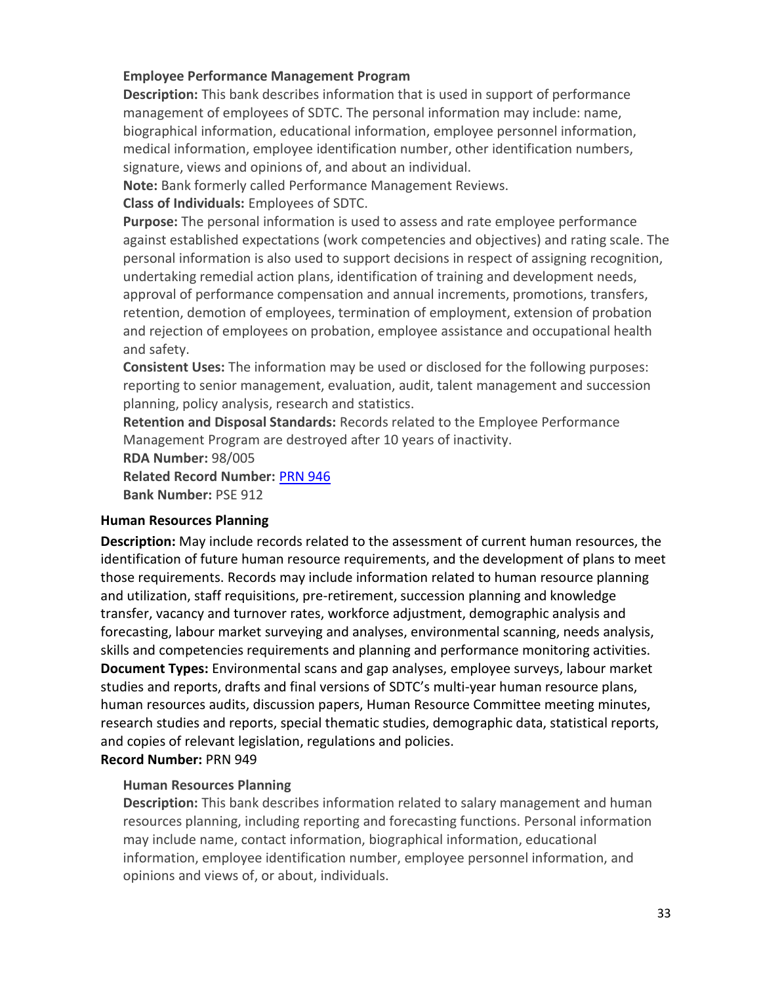#### <span id="page-32-1"></span>**Employee Performance Management Program**

**Description:** This bank describes information that is used in support of performance management of employees of SDTC. The personal information may include: name, biographical information, educational information, employee personnel information, medical information, employee identification number, other identification numbers, signature, views and opinions of, and about an individual.

**Note:** Bank formerly called Performance Management Reviews.

#### **Class of Individuals:** Employees of SDTC.

**Purpose:** The personal information is used to assess and rate employee performance against established expectations (work competencies and objectives) and rating scale. The personal information is also used to support decisions in respect of assigning recognition, undertaking remedial action plans, identification of training and development needs, approval of performance compensation and annual increments, promotions, transfers, retention, demotion of employees, termination of employment, extension of probation and rejection of employees on probation, employee assistance and occupational health and safety.

**Consistent Uses:** The information may be used or disclosed for the following purposes: reporting to senior management, evaluation, audit, talent management and succession planning, policy analysis, research and statistics.

**Retention and Disposal Standards:** Records related to the Employee Performance Management Program are destroyed after 10 years of inactivity.

**RDA Number:** 98/005

**Related Record Number:** [PRN 946](#page-31-0)

**Bank Number:** PSE 912

#### <span id="page-32-0"></span>**Human Resources Planning**

**Description:** May include records related to the assessment of current human resources, the identification of future human resource requirements, and the development of plans to meet those requirements. Records may include information related to human resource planning and utilization, staff requisitions, pre-retirement, succession planning and knowledge transfer, vacancy and turnover rates, workforce adjustment, demographic analysis and forecasting, labour market surveying and analyses, environmental scanning, needs analysis, skills and competencies requirements and planning and performance monitoring activities. **Document Types:** Environmental scans and gap analyses, employee surveys, labour market studies and reports, drafts and final versions of SDTC's multi-year human resource plans, human resources audits, discussion papers, Human Resource Committee meeting minutes, research studies and reports, special thematic studies, demographic data, statistical reports, and copies of relevant legislation, regulations and policies.

# **Record Number:** PRN 949

## **Human Resources Planning**

**Description:** This bank describes information related to salary management and human resources planning, including reporting and forecasting functions. Personal information may include name, contact information, biographical information, educational information, employee identification number, employee personnel information, and opinions and views of, or about, individuals.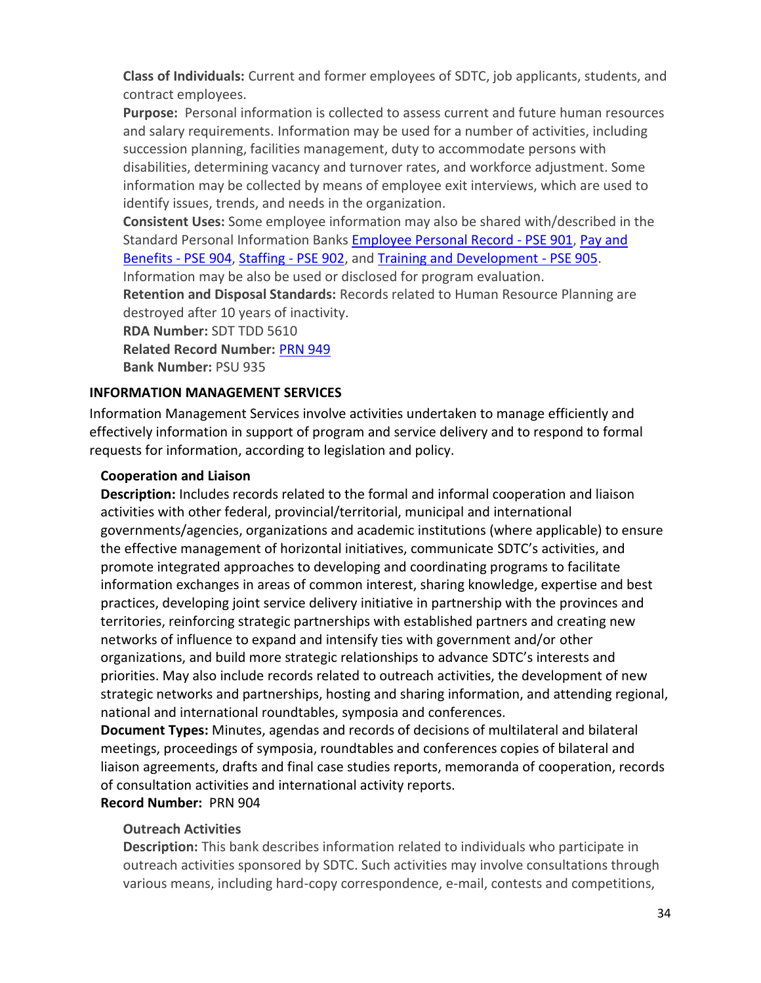**Class of Individuals:** Current and former employees of SDTC, job applicants, students, and contract employees.

**Purpose:** Personal information is collected to assess current and future human resources and salary requirements. Information may be used for a number of activities, including succession planning, facilities management, duty to accommodate persons with disabilities, determining vacancy and turnover rates, and workforce adjustment. Some information may be collected by means of employee exit interviews, which are used to identify issues, trends, and needs in the organization.

**Consistent Uses:** Some employee information may also be shared with/described in the Standard Personal Information Banks [Employee Personal Record -](#page-25-4) PSE 901, [Pay and](#page-30-0)  [Benefits -](#page-30-0) PSE 904, [Staffing -](#page-26-0) PSE 902, and [Training and Development -](#page-29-2) PSE 905. Information may be also be used or disclosed for program evaluation.

**Retention and Disposal Standards:** Records related to Human Resource Planning are destroyed after 10 years of inactivity.

**RDA Number:** SDT TDD 5610

**Related Record Number:** [PRN 949](#page-32-0)

<span id="page-33-1"></span>**Bank Number:** PSU 935

## <span id="page-33-0"></span>**INFORMATION MANAGEMENT SERVICES**

Information Management Services involve activities undertaken to manage efficiently and effectively information in support of program and service delivery and to respond to formal requests for information, according to legislation and policy.

#### **Cooperation and Liaison**

**Description:** Includes records related to the formal and informal cooperation and liaison activities with other federal, provincial/territorial, municipal and international governments/agencies, organizations and academic institutions (where applicable) to ensure the effective management of horizontal initiatives, communicate SDTC's activities, and promote integrated approaches to developing and coordinating programs to facilitate information exchanges in areas of common interest, sharing knowledge, expertise and best practices, developing joint service delivery initiative in partnership with the provinces and territories, reinforcing strategic partnerships with established partners and creating new networks of influence to expand and intensify ties with government and/or other organizations, and build more strategic relationships to advance SDTC's interests and priorities. May also include records related to outreach activities, the development of new strategic networks and partnerships, hosting and sharing information, and attending regional, national and international roundtables, symposia and conferences.

**Document Types:** Minutes, agendas and records of decisions of multilateral and bilateral meetings, proceedings of symposia, roundtables and conferences copies of bilateral and liaison agreements, drafts and final case studies reports, memoranda of cooperation, records of consultation activities and international activity reports.

## **Record Number:** PRN 904

## **Outreach Activities**

**Description:** This bank describes information related to individuals who participate in outreach activities sponsored by SDTC. Such activities may involve consultations through various means, including hard-copy correspondence, e-mail, contests and competitions,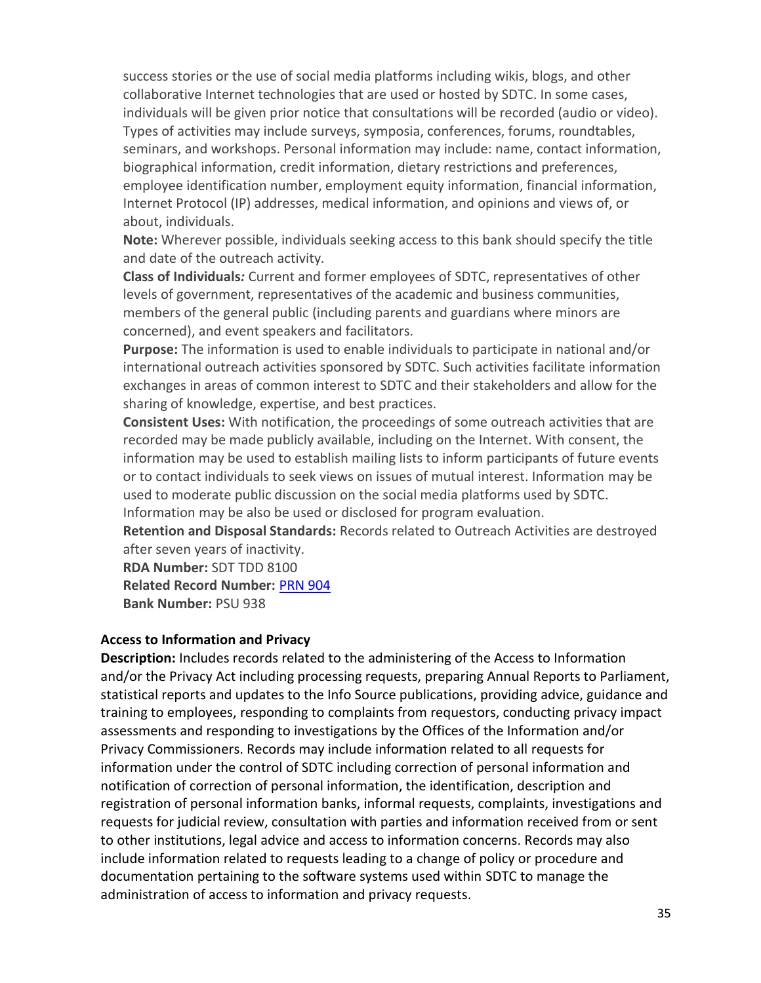success stories or the use of social media platforms including wikis, blogs, and other collaborative Internet technologies that are used or hosted by SDTC. In some cases, individuals will be given prior notice that consultations will be recorded (audio or video). Types of activities may include surveys, symposia, conferences, forums, roundtables, seminars, and workshops. Personal information may include: name, contact information, biographical information, credit information, dietary restrictions and preferences, employee identification number, employment equity information, financial information, Internet Protocol (IP) addresses, medical information, and opinions and views of, or about, individuals.

**Note:** Wherever possible, individuals seeking access to this bank should specify the title and date of the outreach activity*.*

**Class of Individuals***:* Current and former employees of SDTC, representatives of other levels of government, representatives of the academic and business communities, members of the general public (including parents and guardians where minors are concerned), and event speakers and facilitators.

**Purpose:** The information is used to enable individuals to participate in national and/or international outreach activities sponsored by SDTC. Such activities facilitate information exchanges in areas of common interest to SDTC and their stakeholders and allow for the sharing of knowledge, expertise, and best practices.

**Consistent Uses:** With notification, the proceedings of some outreach activities that are recorded may be made publicly available, including on the Internet. With consent, the information may be used to establish mailing lists to inform participants of future events or to contact individuals to seek views on issues of mutual interest. Information may be used to moderate public discussion on the social media platforms used by SDTC. Information may be also be used or disclosed for program evaluation.

**Retention and Disposal Standards:** Records related to Outreach Activities are destroyed after seven years of inactivity.

**RDA Number:** SDT TDD 8100

**Related Record Number:** [PRN 904](#page-33-1)

**Bank Number:** PSU 938

#### <span id="page-34-0"></span>**Access to Information and Privacy**

**Description:** Includes records related to the administering of the Access to Information and/or the Privacy Act including processing requests, preparing Annual Reports to Parliament, statistical reports and updates to the Info Source publications, providing advice, guidance and training to employees, responding to complaints from requestors, conducting privacy impact assessments and responding to investigations by the Offices of the Information and/or Privacy Commissioners. Records may include information related to all requests for information under the control of SDTC including correction of personal information and notification of correction of personal information, the identification, description and registration of personal information banks, informal requests, complaints, investigations and requests for judicial review, consultation with parties and information received from or sent to other institutions, legal advice and access to information concerns. Records may also include information related to requests leading to a change of policy or procedure and documentation pertaining to the software systems used within SDTC to manage the administration of access to information and privacy requests.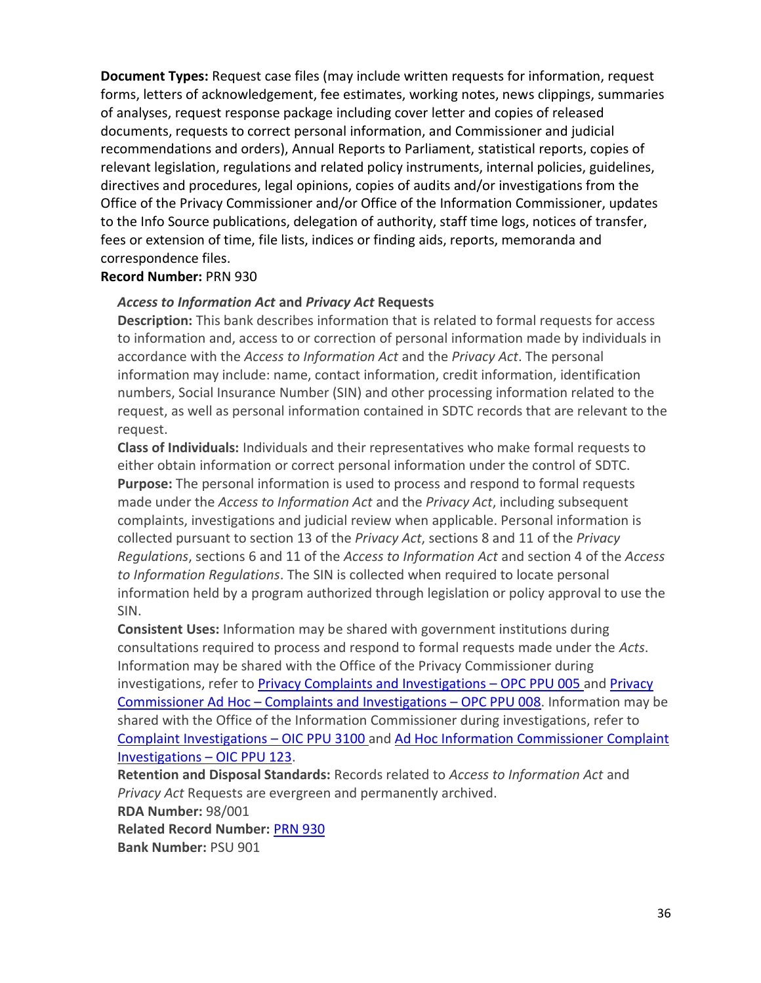**Document Types:** Request case files (may include written requests for information, request forms, letters of acknowledgement, fee estimates, working notes, news clippings, summaries of analyses, request response package including cover letter and copies of released documents, requests to correct personal information, and Commissioner and judicial recommendations and orders), Annual Reports to Parliament, statistical reports, copies of relevant legislation, regulations and related policy instruments, internal policies, guidelines, directives and procedures, legal opinions, copies of audits and/or investigations from the Office of the Privacy Commissioner and/or Office of the Information Commissioner, updates to the Info Source publications, delegation of authority, staff time logs, notices of transfer, fees or extension of time, file lists, indices or finding aids, reports, memoranda and correspondence files.

#### **Record Number:** PRN 930

#### *Access to Information Act* **and** *Privacy Act* **Requests**

**Description:** This bank describes information that is related to formal requests for access to information and, access to or correction of personal information made by individuals in accordance with the *Access to Information Act* and the *Privacy Act*. The personal information may include: name, contact information, credit information, identification numbers, Social Insurance Number (SIN) and other processing information related to the request, as well as personal information contained in SDTC records that are relevant to the request.

**Class of Individuals:** Individuals and their representatives who make formal requests to either obtain information or correct personal information under the control of SDTC. **Purpose:** The personal information is used to process and respond to formal requests made under the *Access to Information Act* and the *Privacy Act*, including subsequent complaints, investigations and judicial review when applicable. Personal information is collected pursuant to section 13 of the *Privacy Act*, sections 8 and 11 of the *Privacy Regulations*, sections 6 and 11 of the *Access to Information Act* and section 4 of the *Access to Information Regulations*. The SIN is collected when required to locate personal information held by a program authorized through legislation or policy approval to use the SIN.

**Consistent Uses:** Information may be shared with government institutions during consultations required to process and respond to formal requests made under the *Acts*. Information may be shared with the Office of the Privacy Commissioner during investigations, refer to [Privacy Complaints and Investigations](https://www.priv.gc.ca/au-ans/atip-aiprp/infosource_e.asp) – OPC PPU 005 and [Privacy](https://www.priv.gc.ca/au-ans/atip-aiprp/infosource_e.asp)  Commissioner Ad Hoc – [Complaints and Investigations](https://www.priv.gc.ca/au-ans/atip-aiprp/infosource_e.asp) – OPC PPU 008. Information may be shared with the Office of the Information Commissioner during investigations, refer to [Complaint Investigations](http://www.oic-ci.gc.ca/eng/info-source.aspx) – OIC PPU 3100 and [Ad Hoc Information Commissioner Complaint](http://www.oic-ci.gc.ca/eng/info-source.aspx)  [Investigations](http://www.oic-ci.gc.ca/eng/info-source.aspx) – OIC PPU 123.

**Retention and Disposal Standards:** Records related to *Access to Information Act* and *Privacy Act* Requests are evergreen and permanently archived. **RDA Number:** 98/001 **Related Record Number:** [PRN 930](#page-34-0) **Bank Number:** PSU 901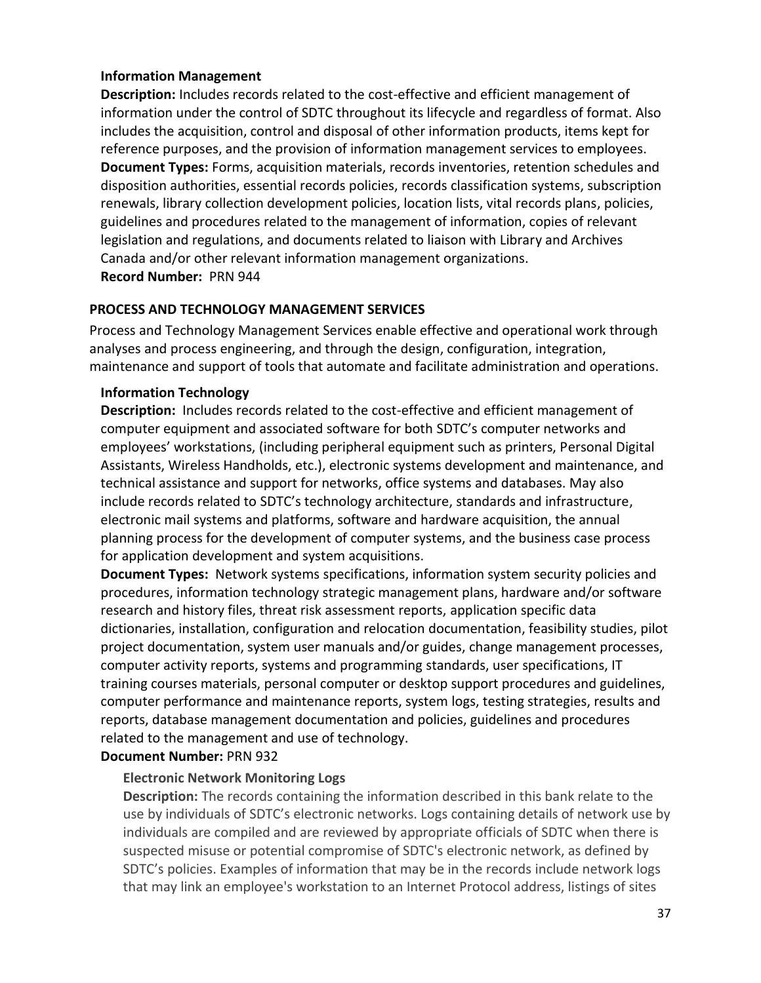#### <span id="page-36-0"></span>**Information Management**

**Description:** Includes records related to the cost-effective and efficient management of information under the control of SDTC throughout its lifecycle and regardless of format. Also includes the acquisition, control and disposal of other information products, items kept for reference purposes, and the provision of information management services to employees. **Document Types:** Forms, acquisition materials, records inventories, retention schedules and disposition authorities, essential records policies, records classification systems, subscription renewals, library collection development policies, location lists, vital records plans, policies, guidelines and procedures related to the management of information, copies of relevant legislation and regulations, and documents related to liaison with Library and Archives Canada and/or other relevant information management organizations. **Record Number:** PRN 944

#### <span id="page-36-1"></span>**PROCESS AND TECHNOLOGY MANAGEMENT SERVICES**

Process and Technology Management Services enable effective and operational work through analyses and process engineering, and through the design, configuration, integration, maintenance and support of tools that automate and facilitate administration and operations.

#### <span id="page-36-2"></span>**Information Technology**

**Description:** Includes records related to the cost-effective and efficient management of computer equipment and associated software for both SDTC's computer networks and employees' workstations, (including peripheral equipment such as printers, Personal Digital Assistants, Wireless Handholds, etc.), electronic systems development and maintenance, and technical assistance and support for networks, office systems and databases. May also include records related to SDTC's technology architecture, standards and infrastructure, electronic mail systems and platforms, software and hardware acquisition, the annual planning process for the development of computer systems, and the business case process for application development and system acquisitions.

**Document Types:** Network systems specifications, information system security policies and procedures, information technology strategic management plans, hardware and/or software research and history files, threat risk assessment reports, application specific data dictionaries, installation, configuration and relocation documentation, feasibility studies, pilot project documentation, system user manuals and/or guides, change management processes, computer activity reports, systems and programming standards, user specifications, IT training courses materials, personal computer or desktop support procedures and guidelines, computer performance and maintenance reports, system logs, testing strategies, results and reports, database management documentation and policies, guidelines and procedures related to the management and use of technology.

#### **Document Number:** PRN 932

## **Electronic Network Monitoring Logs**

**Description:** The records containing the information described in this bank relate to the use by individuals of SDTC's electronic networks. Logs containing details of network use by individuals are compiled and are reviewed by appropriate officials of SDTC when there is suspected misuse or potential compromise of SDTC's electronic network, as defined by SDTC's policies. Examples of information that may be in the records include network logs that may link an employee's workstation to an Internet Protocol address, listings of sites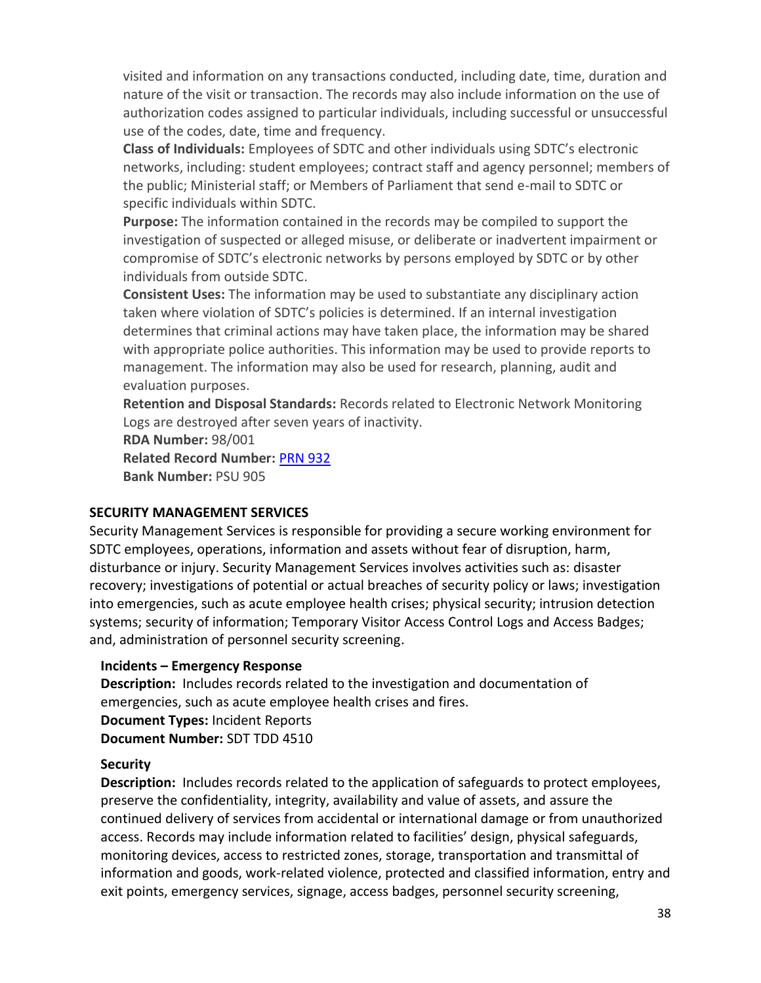visited and information on any transactions conducted, including date, time, duration and nature of the visit or transaction. The records may also include information on the use of authorization codes assigned to particular individuals, including successful or unsuccessful use of the codes, date, time and frequency.

**Class of Individuals:** Employees of SDTC and other individuals using SDTC's electronic networks, including: student employees; contract staff and agency personnel; members of the public; Ministerial staff; or Members of Parliament that send e-mail to SDTC or specific individuals within SDTC.

**Purpose:** The information contained in the records may be compiled to support the investigation of suspected or alleged misuse, or deliberate or inadvertent impairment or compromise of SDTC's electronic networks by persons employed by SDTC or by other individuals from outside SDTC.

**Consistent Uses:** The information may be used to substantiate any disciplinary action taken where violation of SDTC's policies is determined. If an internal investigation determines that criminal actions may have taken place, the information may be shared with appropriate police authorities. This information may be used to provide reports to management. The information may also be used for research, planning, audit and evaluation purposes.

**Retention and Disposal Standards:** Records related to Electronic Network Monitoring Logs are destroyed after seven years of inactivity.

**RDA Number:** 98/001 **Related Record Number:** [PRN 932](#page-36-2) **Bank Number:** PSU 905

#### <span id="page-37-0"></span>**SECURITY MANAGEMENT SERVICES**

Security Management Services is responsible for providing a secure working environment for SDTC employees, operations, information and assets without fear of disruption, harm, disturbance or injury. Security Management Services involves activities such as: disaster recovery; investigations of potential or actual breaches of security policy or laws; investigation into emergencies, such as acute employee health crises; physical security; intrusion detection systems; security of information; Temporary Visitor Access Control Logs and Access Badges; and, administration of personnel security screening.

#### <span id="page-37-1"></span>**Incidents – Emergency Response**

**Description:** Includes records related to the investigation and documentation of emergencies, such as acute employee health crises and fires. **Document Types:** Incident Reports **Document Number:** SDT TDD 4510

#### <span id="page-37-2"></span>**Security**

**Description:** Includes records related to the application of safeguards to protect employees, preserve the confidentiality, integrity, availability and value of assets, and assure the continued delivery of services from accidental or international damage or from unauthorized access. Records may include information related to facilities' design, physical safeguards, monitoring devices, access to restricted zones, storage, transportation and transmittal of information and goods, work-related violence, protected and classified information, entry and exit points, emergency services, signage, access badges, personnel security screening,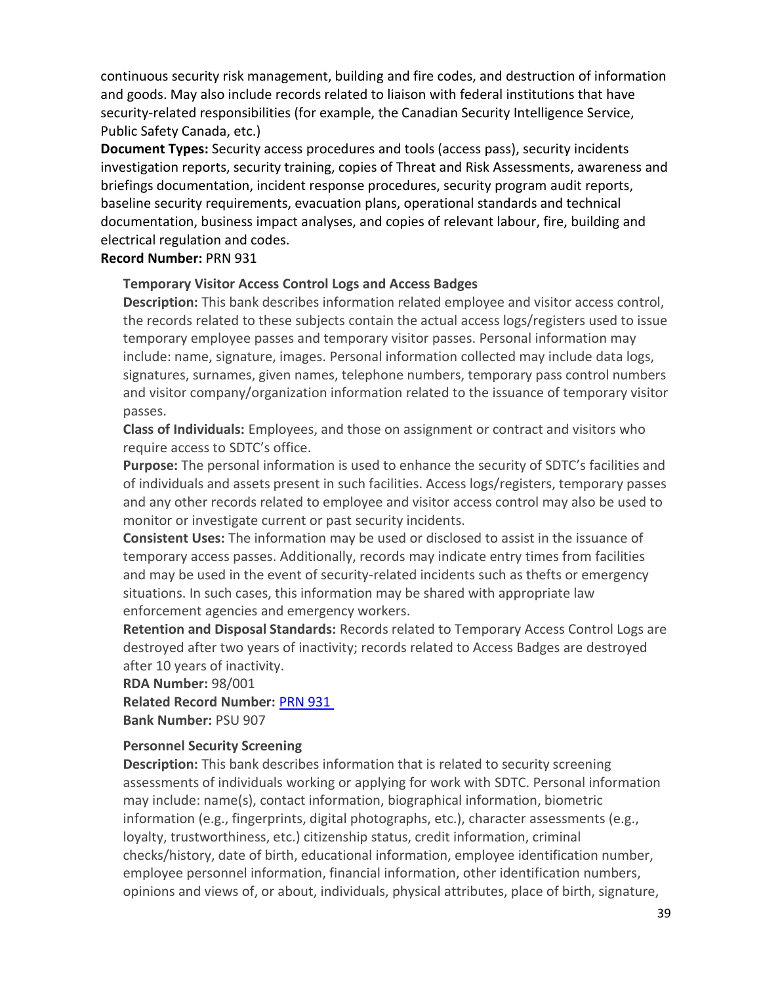continuous security risk management, building and fire codes, and destruction of information and goods. May also include records related to liaison with federal institutions that have security-related responsibilities (for example, the Canadian Security Intelligence Service, Public Safety Canada, etc.)

**Document Types:** Security access procedures and tools (access pass), security incidents investigation reports, security training, copies of Threat and Risk Assessments, awareness and briefings documentation, incident response procedures, security program audit reports, baseline security requirements, evacuation plans, operational standards and technical documentation, business impact analyses, and copies of relevant labour, fire, building and electrical regulation and codes.

#### **Record Number:** PRN 931

#### **Temporary Visitor Access Control Logs and Access Badges**

**Description:** This bank describes information related employee and visitor access control, the records related to these subjects contain the actual access logs/registers used to issue temporary employee passes and temporary visitor passes. Personal information may include: name, signature, images. Personal information collected may include data logs, signatures, surnames, given names, telephone numbers, temporary pass control numbers and visitor company/organization information related to the issuance of temporary visitor passes.

**Class of Individuals:** Employees, and those on assignment or contract and visitors who require access to SDTC's office.

**Purpose:** The personal information is used to enhance the security of SDTC's facilities and of individuals and assets present in such facilities. Access logs/registers, temporary passes and any other records related to employee and visitor access control may also be used to monitor or investigate current or past security incidents.

**Consistent Uses:** The information may be used or disclosed to assist in the issuance of temporary access passes. Additionally, records may indicate entry times from facilities and may be used in the event of security-related incidents such as thefts or emergency situations. In such cases, this information may be shared with appropriate law enforcement agencies and emergency workers.

**Retention and Disposal Standards:** Records related to Temporary Access Control Logs are destroyed after two years of inactivity; records related to Access Badges are destroyed after 10 years of inactivity.

**RDA Number:** 98/001

**Related Record Number:** [PRN 931](#page-37-2)

**Bank Number:** PSU 907

#### <span id="page-38-0"></span>**Personnel Security Screening**

**Description:** This bank describes information that is related to security screening assessments of individuals working or applying for work with SDTC. Personal information may include: name(s), contact information, biographical information, biometric information (e.g., fingerprints, digital photographs, etc.), character assessments (e.g., loyalty, trustworthiness, etc.) citizenship status, credit information, criminal checks/history, date of birth, educational information, employee identification number, employee personnel information, financial information, other identification numbers, opinions and views of, or about, individuals, physical attributes, place of birth, signature,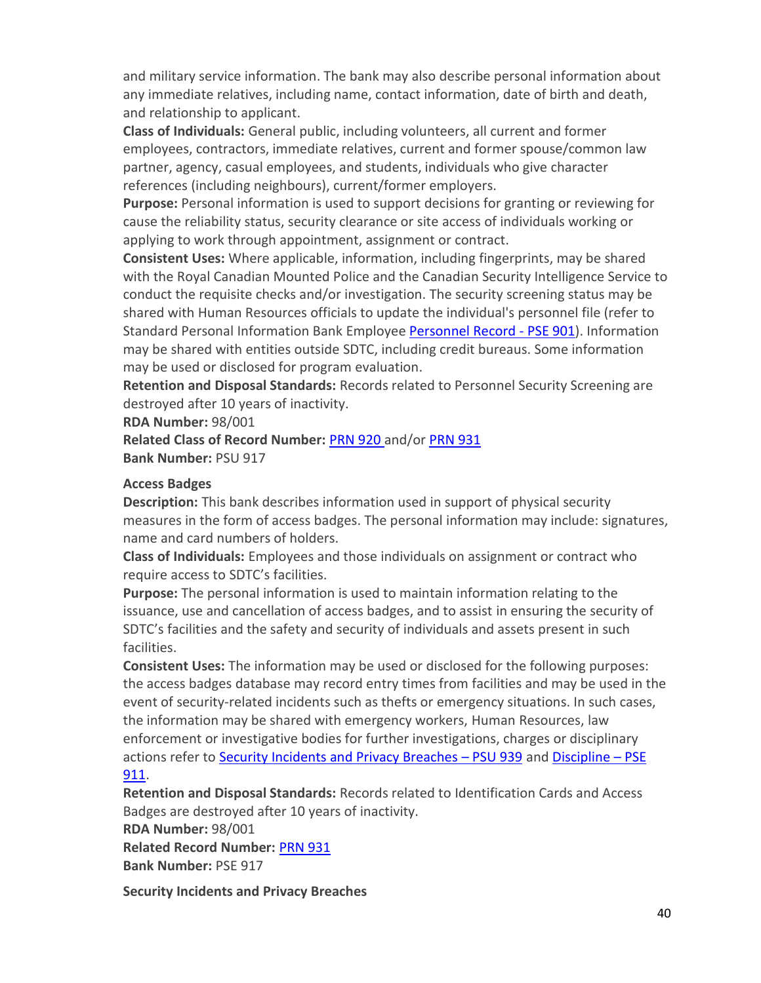and military service information. The bank may also describe personal information about any immediate relatives, including name, contact information, date of birth and death, and relationship to applicant.

**Class of Individuals:** General public, including volunteers, all current and former employees, contractors, immediate relatives, current and former spouse/common law partner, agency, casual employees, and students, individuals who give character references (including neighbours), current/former employers.

**Purpose:** Personal information is used to support decisions for granting or reviewing for cause the reliability status, security clearance or site access of individuals working or applying to work through appointment, assignment or contract.

**Consistent Uses:** Where applicable, information, including fingerprints, may be shared with the Royal Canadian Mounted Police and the Canadian Security Intelligence Service to conduct the requisite checks and/or investigation. The security screening status may be shared with Human Resources officials to update the individual's personnel file (refer to Standard Personal Information Bank Employee [Personnel Record -](#page-25-4) PSE 901). Information may be shared with entities outside SDTC, including credit bureaus. Some information may be used or disclosed for program evaluation.

**Retention and Disposal Standards:** Records related to Personnel Security Screening are destroyed after 10 years of inactivity.

**RDA Number:** 98/001

**Related Class of Record Number:** [PRN 920](#page-25-3) and/or [PRN 931](#page-37-2) **Bank Number:** PSU 917

## **Access Badges**

**Description:** This bank describes information used in support of physical security measures in the form of access badges. The personal information may include: signatures, name and card numbers of holders.

**Class of Individuals:** Employees and those individuals on assignment or contract who require access to SDTC's facilities.

**Purpose:** The personal information is used to maintain information relating to the issuance, use and cancellation of access badges, and to assist in ensuring the security of SDTC's facilities and the safety and security of individuals and assets present in such facilities.

**Consistent Uses:** The information may be used or disclosed for the following purposes: the access badges database may record entry times from facilities and may be used in the event of security-related incidents such as thefts or emergency situations. In such cases, the information may be shared with emergency workers, Human Resources, law enforcement or investigative bodies for further investigations, charges or disciplinary actions refer to [Security Incidents and Privacy Breaches](#page-39-0) - PSU 939 and [Discipline](#page-31-1) - PSE [911.](#page-31-1)

## **Retention and Disposal Standards:** Records related to Identification Cards and Access Badges are destroyed after 10 years of inactivity.

**RDA Number:** 98/001

<span id="page-39-0"></span>**Related Record Number:** [PRN 931](#page-37-2) **Bank Number:** PSE 917

**Security Incidents and Privacy Breaches**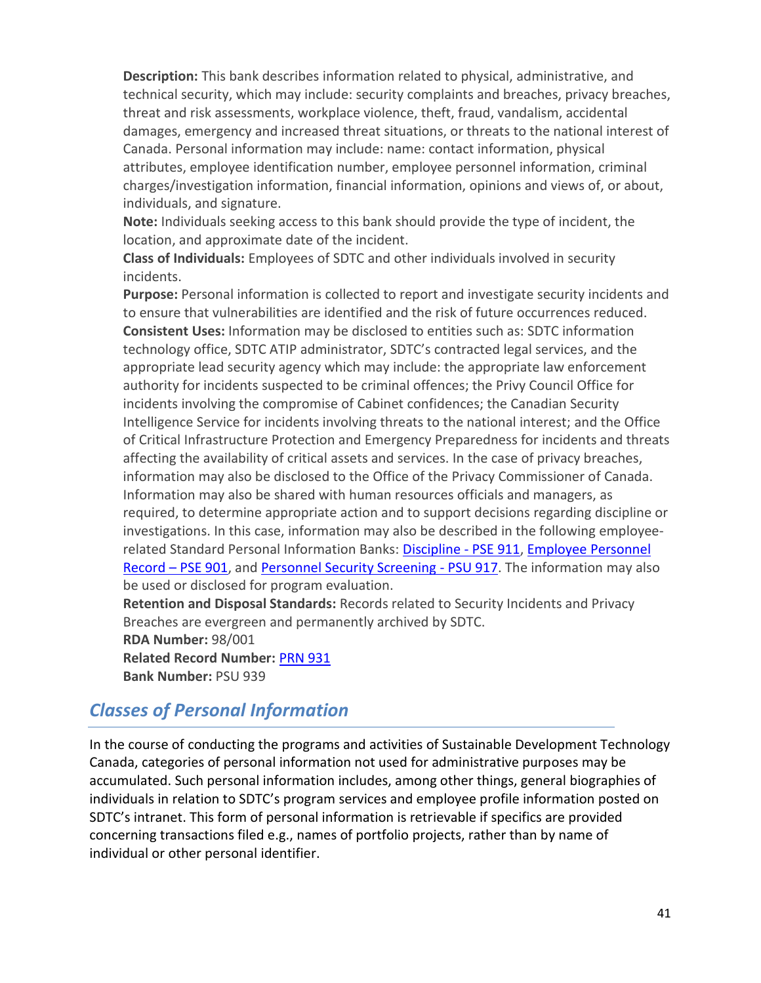**Description:** This bank describes information related to physical, administrative, and technical security, which may include: security complaints and breaches, privacy breaches, threat and risk assessments, workplace violence, theft, fraud, vandalism, accidental damages, emergency and increased threat situations, or threats to the national interest of Canada. Personal information may include: name: contact information, physical attributes, employee identification number, employee personnel information, criminal charges/investigation information, financial information, opinions and views of, or about, individuals, and signature.

**Note:** Individuals seeking access to this bank should provide the type of incident, the location, and approximate date of the incident.

**Class of Individuals:** Employees of SDTC and other individuals involved in security incidents.

**Purpose:** Personal information is collected to report and investigate security incidents and to ensure that vulnerabilities are identified and the risk of future occurrences reduced. **Consistent Uses:** Information may be disclosed to entities such as: SDTC information technology office, SDTC ATIP administrator, SDTC's contracted legal services, and the appropriate lead security agency which may include: the appropriate law enforcement authority for incidents suspected to be criminal offences; the Privy Council Office for incidents involving the compromise of Cabinet confidences; the Canadian Security Intelligence Service for incidents involving threats to the national interest; and the Office of Critical Infrastructure Protection and Emergency Preparedness for incidents and threats affecting the availability of critical assets and services. In the case of privacy breaches, information may also be disclosed to the Office of the Privacy Commissioner of Canada. Information may also be shared with human resources officials and managers, as required, to determine appropriate action and to support decisions regarding discipline or investigations. In this case, information may also be described in the following employee-related Standard Personal Information Banks: [Discipline -](#page-31-1) PSE 911, Employee Personnel Record – [PSE 901,](#page-25-4) and [Personnel Security Screening -](#page-38-0) PSU 917. The information may also be used or disclosed for program evaluation.

**Retention and Disposal Standards:** Records related to Security Incidents and Privacy Breaches are evergreen and permanently archived by SDTC.

**RDA Number:** 98/001

**Related Record Number:** [PRN 931](#page-37-2) **Bank Number:** PSU 939

# <span id="page-40-0"></span>*Classes of Personal Information*

In the course of conducting the programs and activities of Sustainable Development Technology Canada, categories of personal information not used for administrative purposes may be accumulated. Such personal information includes, among other things, general biographies of individuals in relation to SDTC's program services and employee profile information posted on SDTC's intranet. This form of personal information is retrievable if specifics are provided concerning transactions filed e.g., names of portfolio projects, rather than by name of individual or other personal identifier.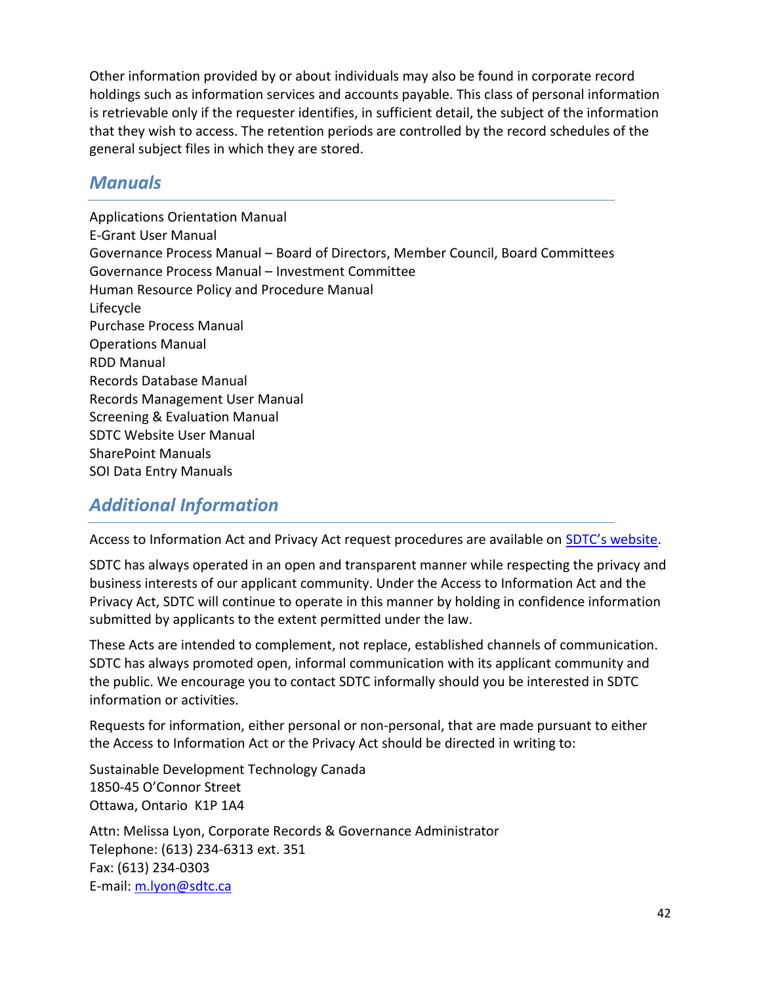Other information provided by or about individuals may also be found in corporate record holdings such as information services and accounts payable. This class of personal information is retrievable only if the requester identifies, in sufficient detail, the subject of the information that they wish to access. The retention periods are controlled by the record schedules of the general subject files in which they are stored.

# <span id="page-41-0"></span>*Manuals*

Applications Orientation Manual E-Grant User Manual Governance Process Manual – Board of Directors, Member Council, Board Committees Governance Process Manual – Investment Committee Human Resource Policy and Procedure Manual Lifecycle Purchase Process Manual Operations Manual RDD Manual Records Database Manual Records Management User Manual Screening & Evaluation Manual SDTC Website User Manual SharePoint Manuals SOI Data Entry Manuals

# <span id="page-41-1"></span>*Additional Information*

Access to Information Act and Privacy Act request procedures are available on [SDTC's website](https://www.sdtc.ca/en/about-sdtc/transparency/access-information-act-and-privacy-act).

SDTC has always operated in an open and transparent manner while respecting the privacy and business interests of our applicant community. Under the Access to Information Act and the Privacy Act, SDTC will continue to operate in this manner by holding in confidence information submitted by applicants to the extent permitted under the law.

These Acts are intended to complement, not replace, established channels of communication. SDTC has always promoted open, informal communication with its applicant community and the public. We encourage you to contact SDTC informally should you be interested in SDTC information or activities.

Requests for information, either personal or non-personal, that are made pursuant to either the Access to Information Act or the Privacy Act should be directed in writing to:

Sustainable Development Technology Canada 1850-45 O'Connor Street Ottawa, Ontario K1P 1A4 Attn: Melissa Lyon, Corporate Records & Governance Administrator Telephone: (613) 234-6313 ext. 351 Fax: (613) 234-0303 E-mail: [m.lyon@sdtc.ca](mailto:m.lyon@sdtc.ca)